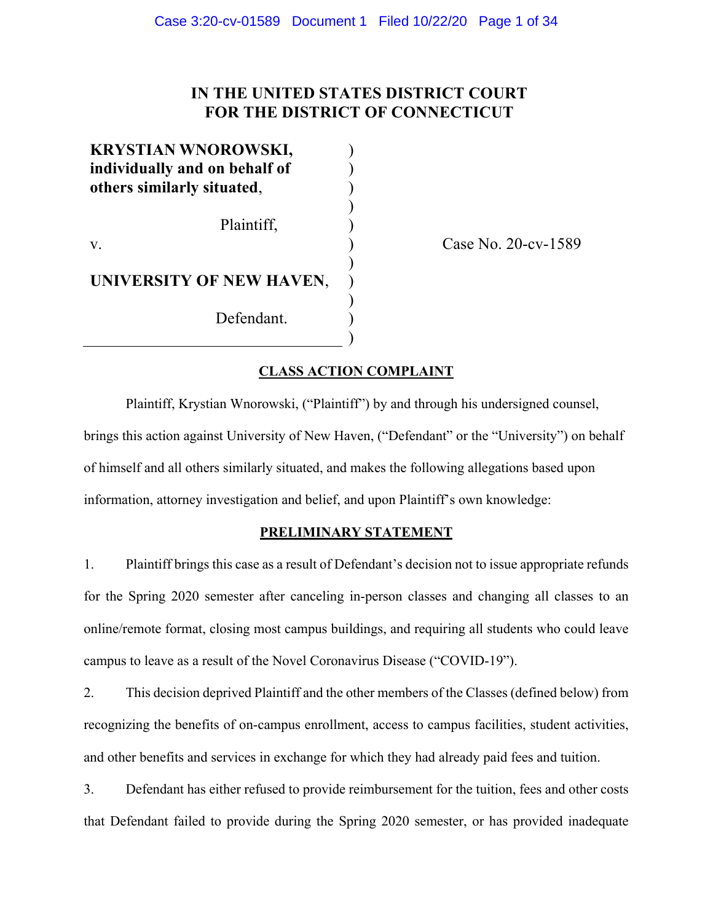# **IN THE UNITED STATES DISTRICT COURT FOR THE DISTRICT OF CONNECTICUT**

) ) ) ) ) ) ) ) ) ) )

**KRYSTIAN WNOROWSKI, individually and on behalf of others similarly situated**,

Plaintiff,

v.

**UNIVERSITY OF NEW HAVEN**,

Defendant.

Case No. 20-cv-1589

# **CLASS ACTION COMPLAINT**

Plaintiff, Krystian Wnorowski, ("Plaintiff") by and through his undersigned counsel, brings this action against University of New Haven, ("Defendant" or the "University") on behalf of himself and all others similarly situated, and makes the following allegations based upon information, attorney investigation and belief, and upon Plaintiff's own knowledge:

# **PRELIMINARY STATEMENT**

1. Plaintiff brings this case as a result of Defendant's decision not to issue appropriate refunds for the Spring 2020 semester after canceling in-person classes and changing all classes to an online/remote format, closing most campus buildings, and requiring all students who could leave campus to leave as a result of the Novel Coronavirus Disease ("COVID-19").

2. This decision deprived Plaintiff and the other members of the Classes (defined below) from recognizing the benefits of on-campus enrollment, access to campus facilities, student activities, and other benefits and services in exchange for which they had already paid fees and tuition.

3. Defendant has either refused to provide reimbursement for the tuition, fees and other costs that Defendant failed to provide during the Spring 2020 semester, or has provided inadequate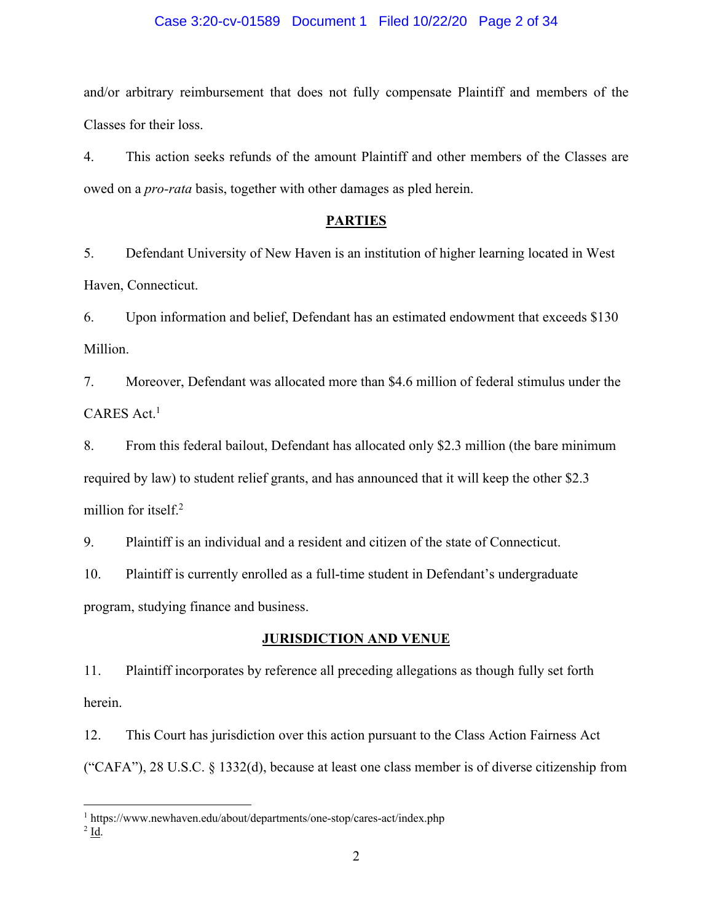### Case 3:20-cv-01589 Document 1 Filed 10/22/20 Page 2 of 34

and/or arbitrary reimbursement that does not fully compensate Plaintiff and members of the Classes for their loss.

4. This action seeks refunds of the amount Plaintiff and other members of the Classes are owed on a *pro-rata* basis, together with other damages as pled herein.

### **PARTIES**

5. Defendant University of New Haven is an institution of higher learning located in West Haven, Connecticut.

6. Upon information and belief, Defendant has an estimated endowment that exceeds \$130 Million.

7. Moreover, Defendant was allocated more than \$4.6 million of federal stimulus under the CARES Act.<sup>1</sup>

8. From this federal bailout, Defendant has allocated only \$2.3 million (the bare minimum required by law) to student relief grants, and has announced that it will keep the other \$2.3 million for itself.<sup>2</sup>

9. Plaintiff is an individual and a resident and citizen of the state of Connecticut.

10. Plaintiff is currently enrolled as a full-time student in Defendant's undergraduate program, studying finance and business.

### **JURISDICTION AND VENUE**

11. Plaintiff incorporates by reference all preceding allegations as though fully set forth herein.

12. This Court has jurisdiction over this action pursuant to the Class Action Fairness Act ("CAFA"), 28 U.S.C. § 1332(d), because at least one class member is of diverse citizenship from

<sup>1</sup> https://www.newhaven.edu/about/departments/one-stop/cares-act/index.php

 $2$  Id.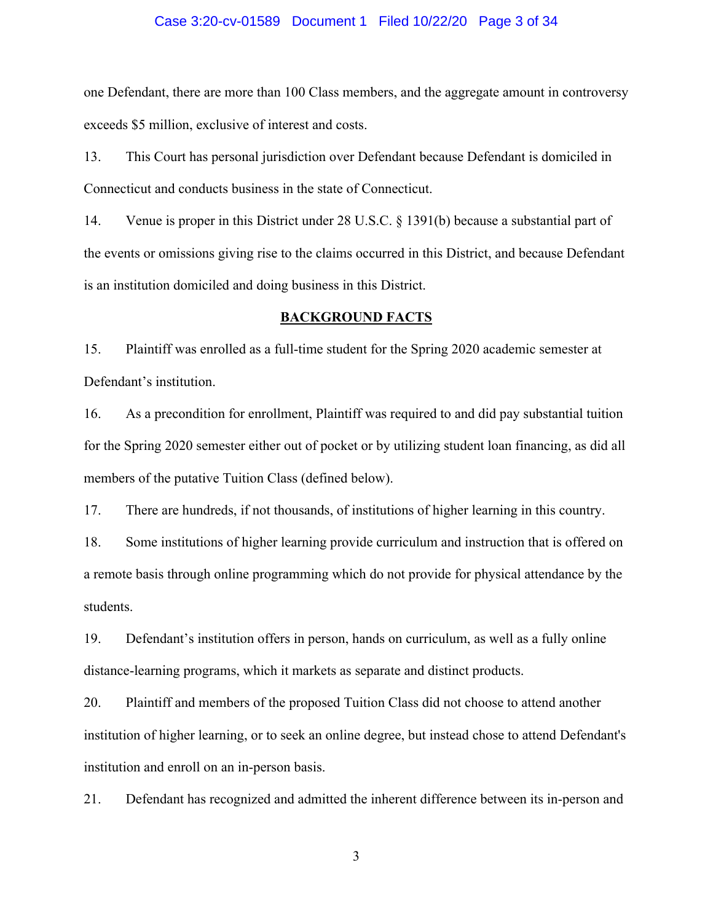### Case 3:20-cv-01589 Document 1 Filed 10/22/20 Page 3 of 34

one Defendant, there are more than 100 Class members, and the aggregate amount in controversy exceeds \$5 million, exclusive of interest and costs.

13. This Court has personal jurisdiction over Defendant because Defendant is domiciled in Connecticut and conducts business in the state of Connecticut.

14. Venue is proper in this District under 28 U.S.C. § 1391(b) because a substantial part of the events or omissions giving rise to the claims occurred in this District, and because Defendant is an institution domiciled and doing business in this District.

### **BACKGROUND FACTS**

15. Plaintiff was enrolled as a full-time student for the Spring 2020 academic semester at Defendant's institution.

16. As a precondition for enrollment, Plaintiff was required to and did pay substantial tuition for the Spring 2020 semester either out of pocket or by utilizing student loan financing, as did all members of the putative Tuition Class (defined below).

17. There are hundreds, if not thousands, of institutions of higher learning in this country.

18. Some institutions of higher learning provide curriculum and instruction that is offered on a remote basis through online programming which do not provide for physical attendance by the students.

19. Defendant's institution offers in person, hands on curriculum, as well as a fully online distance-learning programs, which it markets as separate and distinct products.

20. Plaintiff and members of the proposed Tuition Class did not choose to attend another institution of higher learning, or to seek an online degree, but instead chose to attend Defendant's institution and enroll on an in-person basis.

21. Defendant has recognized and admitted the inherent difference between its in-person and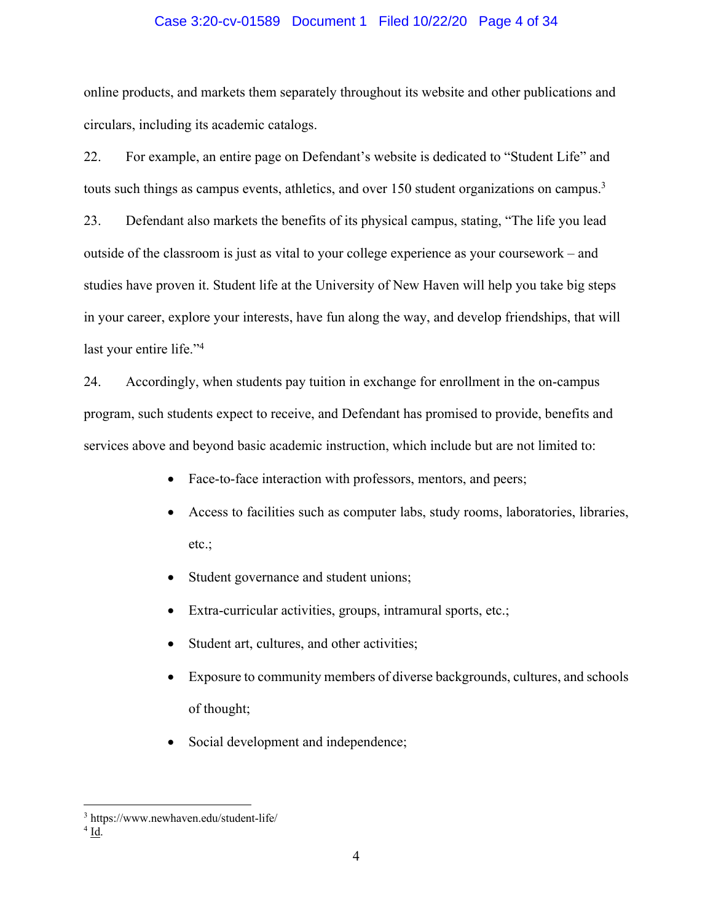### Case 3:20-cv-01589 Document 1 Filed 10/22/20 Page 4 of 34

online products, and markets them separately throughout its website and other publications and circulars, including its academic catalogs.

22. For example, an entire page on Defendant's website is dedicated to "Student Life" and touts such things as campus events, athletics, and over 150 student organizations on campus.<sup>3</sup>

23. Defendant also markets the benefits of its physical campus, stating, "The life you lead outside of the classroom is just as vital to your college experience as your coursework – and studies have proven it. Student life at the University of New Haven will help you take big steps in your career, explore your interests, have fun along the way, and develop friendships, that will last your entire life."<sup>4</sup>

24. Accordingly, when students pay tuition in exchange for enrollment in the on-campus program, such students expect to receive, and Defendant has promised to provide, benefits and services above and beyond basic academic instruction, which include but are not limited to:

- Face-to-face interaction with professors, mentors, and peers;
- Access to facilities such as computer labs, study rooms, laboratories, libraries, etc.;
- Student governance and student unions;
- Extra-curricular activities, groups, intramural sports, etc.;
- Student art, cultures, and other activities;
- Exposure to community members of diverse backgrounds, cultures, and schools of thought;
- Social development and independence;

<sup>3</sup> https://www.newhaven.edu/student-life/

 $4$  Id.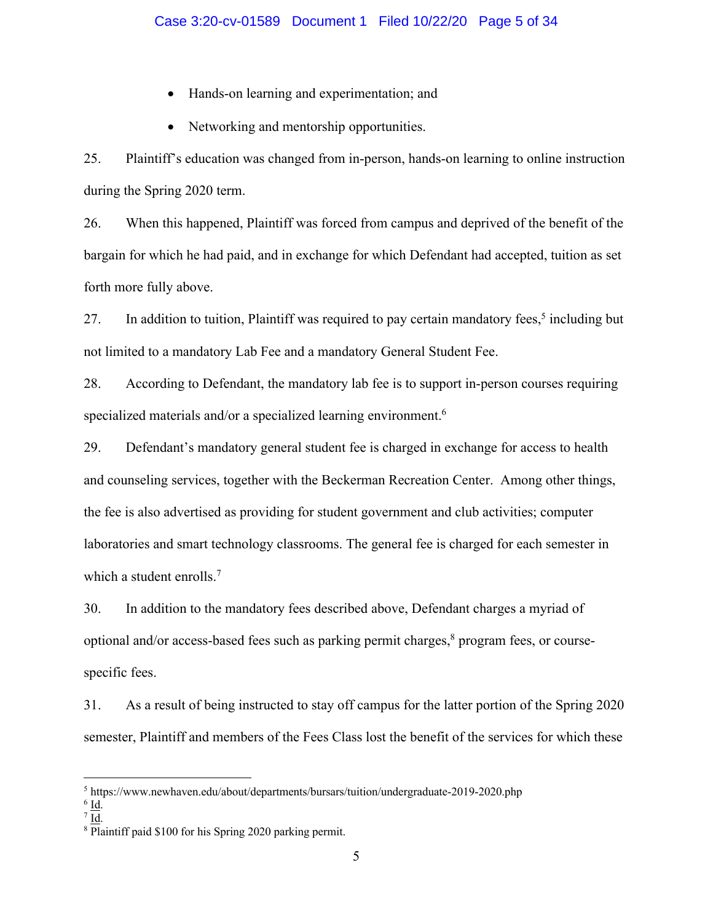- Hands-on learning and experimentation; and
- Networking and mentorship opportunities.

25. Plaintiff's education was changed from in-person, hands-on learning to online instruction during the Spring 2020 term.

26. When this happened, Plaintiff was forced from campus and deprived of the benefit of the bargain for which he had paid, and in exchange for which Defendant had accepted, tuition as set forth more fully above.

27. In addition to tuition, Plaintiff was required to pay certain mandatory fees,<sup>5</sup> including but not limited to a mandatory Lab Fee and a mandatory General Student Fee.

28. According to Defendant, the mandatory lab fee is to support in-person courses requiring specialized materials and/or a specialized learning environment.<sup>6</sup>

29. Defendant's mandatory general student fee is charged in exchange for access to health and counseling services, together with the Beckerman Recreation Center. Among other things, the fee is also advertised as providing for student government and club activities; computer laboratories and smart technology classrooms. The general fee is charged for each semester in which a student enrolls.<sup>7</sup>

30. In addition to the mandatory fees described above, Defendant charges a myriad of optional and/or access-based fees such as parking permit charges, <sup>8</sup> program fees, or coursespecific fees.

31. As a result of being instructed to stay off campus for the latter portion of the Spring 2020 semester, Plaintiff and members of the Fees Class lost the benefit of the services for which these

<sup>5</sup> https://www.newhaven.edu/about/departments/bursars/tuition/undergraduate-2019-2020.php

 $^6$  <u>Id</u>.

 $^7$  <u>Id</u>.

<sup>8</sup> Plaintiff paid \$100 for his Spring 2020 parking permit.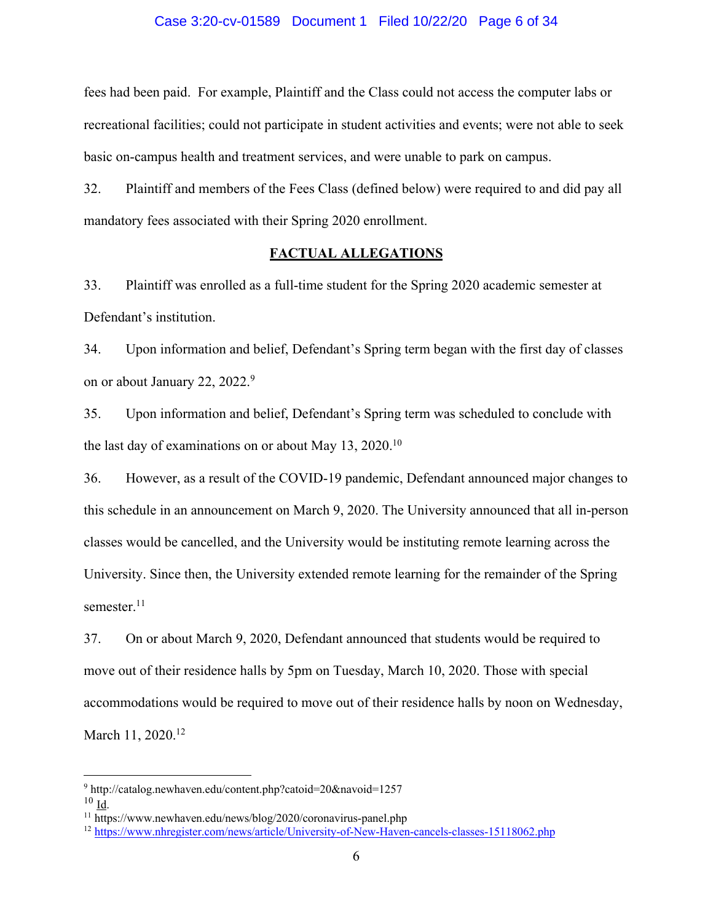### Case 3:20-cv-01589 Document 1 Filed 10/22/20 Page 6 of 34

fees had been paid. For example, Plaintiff and the Class could not access the computer labs or recreational facilities; could not participate in student activities and events; were not able to seek basic on-campus health and treatment services, and were unable to park on campus.

32. Plaintiff and members of the Fees Class (defined below) were required to and did pay all mandatory fees associated with their Spring 2020 enrollment.

### **FACTUAL ALLEGATIONS**

33. Plaintiff was enrolled as a full-time student for the Spring 2020 academic semester at Defendant's institution.

34. Upon information and belief, Defendant's Spring term began with the first day of classes on or about January 22, 2022.9

35. Upon information and belief, Defendant's Spring term was scheduled to conclude with the last day of examinations on or about May 13, 2020.10

36. However, as a result of the COVID-19 pandemic, Defendant announced major changes to this schedule in an announcement on March 9, 2020. The University announced that all in-person classes would be cancelled, and the University would be instituting remote learning across the University. Since then, the University extended remote learning for the remainder of the Spring semester.<sup>11</sup>

37. On or about March 9, 2020, Defendant announced that students would be required to move out of their residence halls by 5pm on Tuesday, March 10, 2020. Those with special accommodations would be required to move out of their residence halls by noon on Wednesday, March 11, 2020.<sup>12</sup>

<sup>9</sup> http://catalog.newhaven.edu/content.php?catoid=20&navoid=1257  $10$  Id.

<sup>11</sup> https://www.newhaven.edu/news/blog/2020/coronavirus-panel.php

<sup>12</sup> https://www.nhregister.com/news/article/University-of-New-Haven-cancels-classes-15118062.php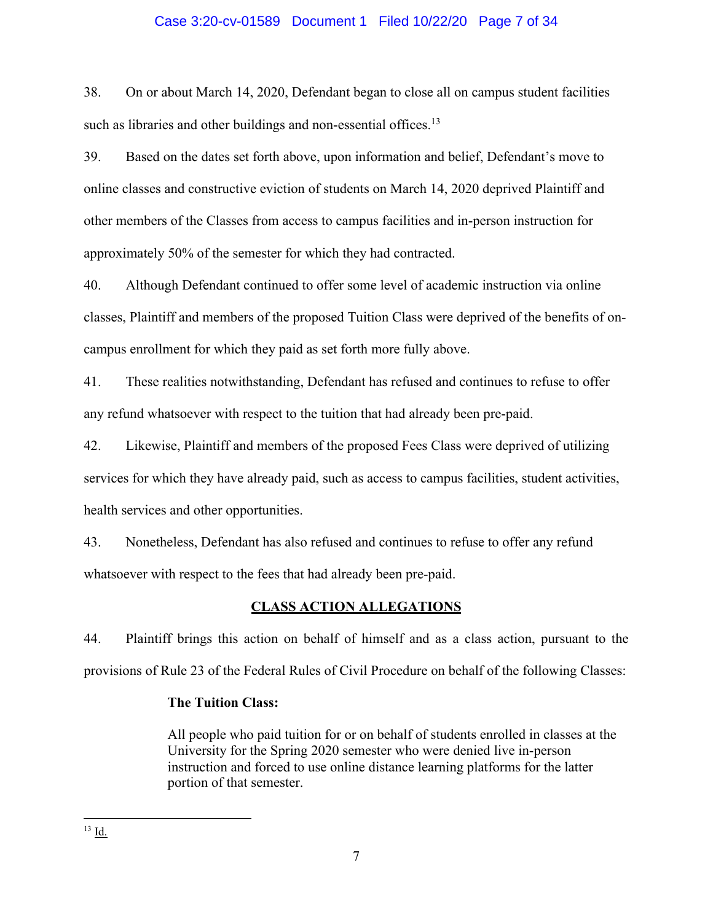### Case 3:20-cv-01589 Document 1 Filed 10/22/20 Page 7 of 34

38. On or about March 14, 2020, Defendant began to close all on campus student facilities such as libraries and other buildings and non-essential offices.<sup>13</sup>

39. Based on the dates set forth above, upon information and belief, Defendant's move to online classes and constructive eviction of students on March 14, 2020 deprived Plaintiff and other members of the Classes from access to campus facilities and in-person instruction for approximately 50% of the semester for which they had contracted.

40. Although Defendant continued to offer some level of academic instruction via online classes, Plaintiff and members of the proposed Tuition Class were deprived of the benefits of oncampus enrollment for which they paid as set forth more fully above.

41. These realities notwithstanding, Defendant has refused and continues to refuse to offer any refund whatsoever with respect to the tuition that had already been pre-paid.

42. Likewise, Plaintiff and members of the proposed Fees Class were deprived of utilizing services for which they have already paid, such as access to campus facilities, student activities, health services and other opportunities.

43. Nonetheless, Defendant has also refused and continues to refuse to offer any refund whatsoever with respect to the fees that had already been pre-paid.

### **CLASS ACTION ALLEGATIONS**

44. Plaintiff brings this action on behalf of himself and as a class action, pursuant to the provisions of Rule 23 of the Federal Rules of Civil Procedure on behalf of the following Classes:

### **The Tuition Class:**

All people who paid tuition for or on behalf of students enrolled in classes at the University for the Spring 2020 semester who were denied live in-person instruction and forced to use online distance learning platforms for the latter portion of that semester.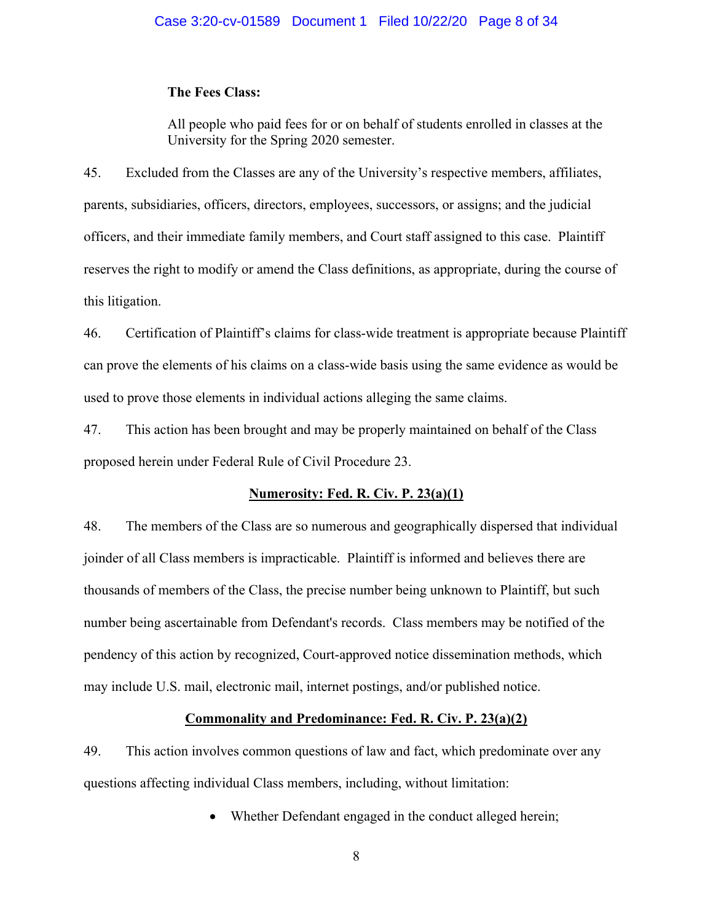### **The Fees Class:**

All people who paid fees for or on behalf of students enrolled in classes at the University for the Spring 2020 semester.

45. Excluded from the Classes are any of the University's respective members, affiliates, parents, subsidiaries, officers, directors, employees, successors, or assigns; and the judicial officers, and their immediate family members, and Court staff assigned to this case. Plaintiff reserves the right to modify or amend the Class definitions, as appropriate, during the course of this litigation.

46. Certification of Plaintiff's claims for class-wide treatment is appropriate because Plaintiff can prove the elements of his claims on a class-wide basis using the same evidence as would be used to prove those elements in individual actions alleging the same claims.

47. This action has been brought and may be properly maintained on behalf of the Class proposed herein under Federal Rule of Civil Procedure 23.

### **Numerosity: Fed. R. Civ. P. 23(a)(1)**

48. The members of the Class are so numerous and geographically dispersed that individual joinder of all Class members is impracticable. Plaintiff is informed and believes there are thousands of members of the Class, the precise number being unknown to Plaintiff, but such number being ascertainable from Defendant's records. Class members may be notified of the pendency of this action by recognized, Court-approved notice dissemination methods, which may include U.S. mail, electronic mail, internet postings, and/or published notice.

### **Commonality and Predominance: Fed. R. Civ. P. 23(a)(2)**

49. This action involves common questions of law and fact, which predominate over any questions affecting individual Class members, including, without limitation:

Whether Defendant engaged in the conduct alleged herein;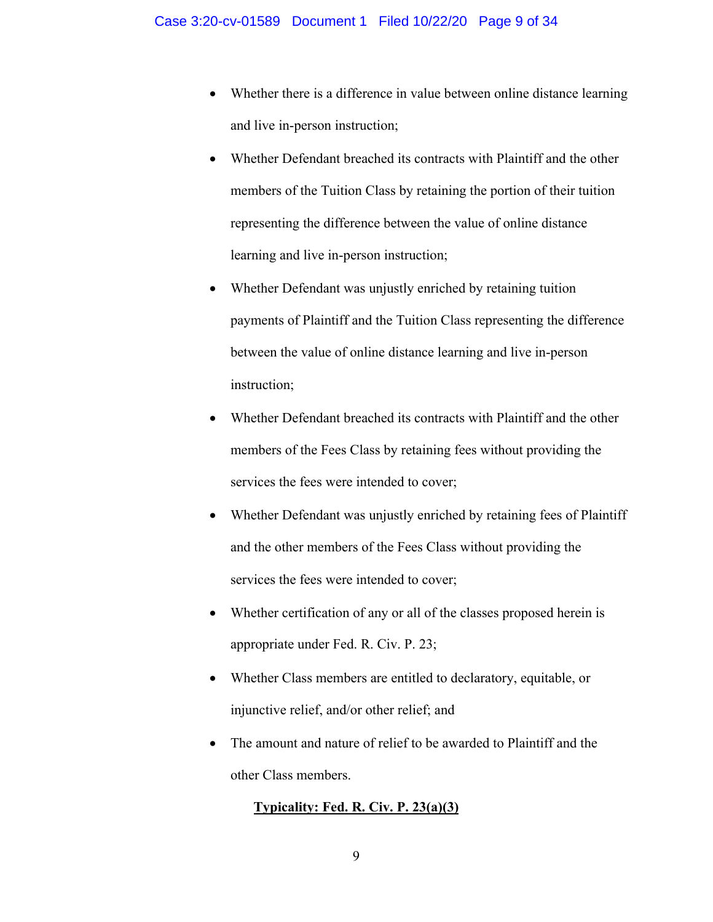- Whether there is a difference in value between online distance learning and live in-person instruction;
- Whether Defendant breached its contracts with Plaintiff and the other members of the Tuition Class by retaining the portion of their tuition representing the difference between the value of online distance learning and live in-person instruction;
- Whether Defendant was unjustly enriched by retaining tuition payments of Plaintiff and the Tuition Class representing the difference between the value of online distance learning and live in-person instruction;
- Whether Defendant breached its contracts with Plaintiff and the other members of the Fees Class by retaining fees without providing the services the fees were intended to cover;
- Whether Defendant was unjustly enriched by retaining fees of Plaintiff and the other members of the Fees Class without providing the services the fees were intended to cover;
- Whether certification of any or all of the classes proposed herein is appropriate under Fed. R. Civ. P. 23;
- Whether Class members are entitled to declaratory, equitable, or injunctive relief, and/or other relief; and
- The amount and nature of relief to be awarded to Plaintiff and the other Class members.

# **Typicality: Fed. R. Civ. P. 23(a)(3)**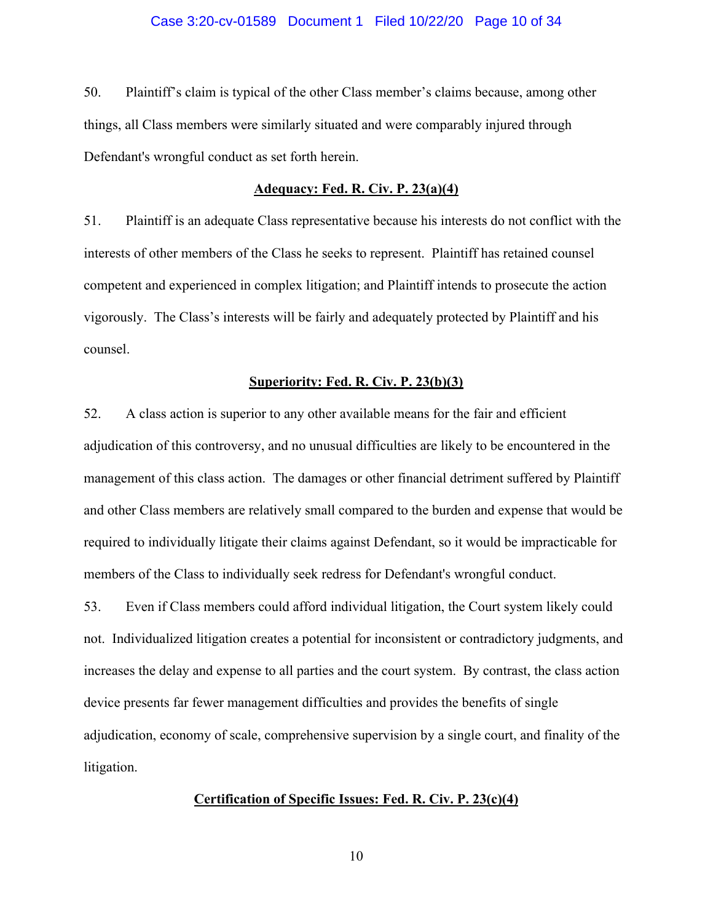50. Plaintiff's claim is typical of the other Class member's claims because, among other things, all Class members were similarly situated and were comparably injured through Defendant's wrongful conduct as set forth herein.

#### **Adequacy: Fed. R. Civ. P. 23(a)(4)**

51. Plaintiff is an adequate Class representative because his interests do not conflict with the interests of other members of the Class he seeks to represent. Plaintiff has retained counsel competent and experienced in complex litigation; and Plaintiff intends to prosecute the action vigorously. The Class's interests will be fairly and adequately protected by Plaintiff and his counsel.

#### **Superiority: Fed. R. Civ. P. 23(b)(3)**

52. A class action is superior to any other available means for the fair and efficient adjudication of this controversy, and no unusual difficulties are likely to be encountered in the management of this class action. The damages or other financial detriment suffered by Plaintiff and other Class members are relatively small compared to the burden and expense that would be required to individually litigate their claims against Defendant, so it would be impracticable for members of the Class to individually seek redress for Defendant's wrongful conduct.

53. Even if Class members could afford individual litigation, the Court system likely could not. Individualized litigation creates a potential for inconsistent or contradictory judgments, and increases the delay and expense to all parties and the court system. By contrast, the class action device presents far fewer management difficulties and provides the benefits of single adjudication, economy of scale, comprehensive supervision by a single court, and finality of the litigation.

### **Certification of Specific Issues: Fed. R. Civ. P. 23(c)(4)**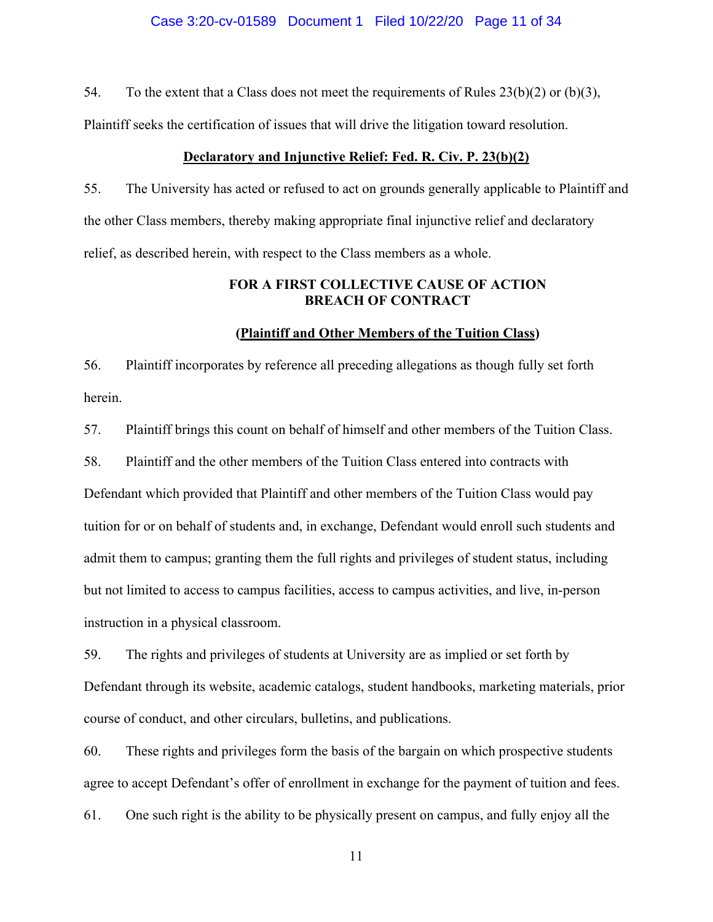### Case 3:20-cv-01589 Document 1 Filed 10/22/20 Page 11 of 34

54. To the extent that a Class does not meet the requirements of Rules  $23(b)(2)$  or  $(b)(3)$ ,

Plaintiff seeks the certification of issues that will drive the litigation toward resolution.

### **Declaratory and Injunctive Relief: Fed. R. Civ. P. 23(b)(2)**

55. The University has acted or refused to act on grounds generally applicable to Plaintiff and the other Class members, thereby making appropriate final injunctive relief and declaratory relief, as described herein, with respect to the Class members as a whole.

### **FOR A FIRST COLLECTIVE CAUSE OF ACTION BREACH OF CONTRACT**

### **(Plaintiff and Other Members of the Tuition Class)**

56. Plaintiff incorporates by reference all preceding allegations as though fully set forth herein.

57. Plaintiff brings this count on behalf of himself and other members of the Tuition Class.

58. Plaintiff and the other members of the Tuition Class entered into contracts with Defendant which provided that Plaintiff and other members of the Tuition Class would pay tuition for or on behalf of students and, in exchange, Defendant would enroll such students and admit them to campus; granting them the full rights and privileges of student status, including but not limited to access to campus facilities, access to campus activities, and live, in-person instruction in a physical classroom.

59. The rights and privileges of students at University are as implied or set forth by Defendant through its website, academic catalogs, student handbooks, marketing materials, prior course of conduct, and other circulars, bulletins, and publications.

60. These rights and privileges form the basis of the bargain on which prospective students agree to accept Defendant's offer of enrollment in exchange for the payment of tuition and fees. 61. One such right is the ability to be physically present on campus, and fully enjoy all the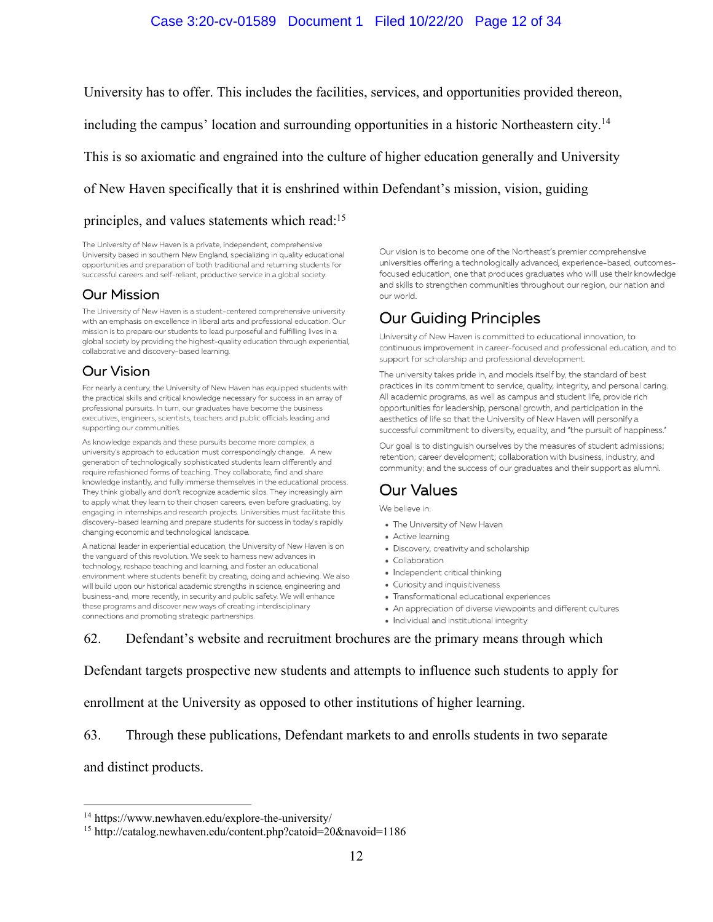### Case 3:20-cv-01589 Document 1 Filed 10/22/20 Page 12 of 34

University has to offer. This includes the facilities, services, and opportunities provided thereon,

including the campus' location and surrounding opportunities in a historic Northeastern city.14

This is so axiomatic and engrained into the culture of higher education generally and University

of New Haven specifically that it is enshrined within Defendant's mission, vision, guiding

#### principles, and values statements which read:15

The University of New Haven is a private, independent, comprehensive University based in southern New England, specializing in quality educational opportunities and preparation of both traditional and returning students for successful careers and self-reliant, productive service in a global society.

### **Our Mission**

The University of New Haven is a student-centered comprehensive university with an emphasis on excellence in liberal arts and professional education. Our mission is to prepare our students to lead purposeful and fulfilling lives in a global society by providing the highest-quality education through experiential, collaborative and discovery-based learning.

### **Our Vision**

For nearly a century, the University of New Haven has equipped students with the practical skills and critical knowledge necessary for success in an array of professional pursuits. In turn, our graduates have become the business executives, engineers, scientists, teachers and public officials leading and supporting our communities.

As knowledge expands and these pursuits become more complex, a university's approach to education must correspondingly change. A new generation of technologically sophisticated students learn differently and require refashioned forms of teaching. They collaborate, find and share knowledge instantly, and fully immerse themselves in the educational process. They think globally and don't recognize academic silos. They increasingly aim to apply what they learn to their chosen careers, even before graduating, by engaging in internships and research projects. Universities must facilitate this discovery-based learning and prepare students for success in today's rapidly changing economic and technological landscape.

A national leader in experiential education, the University of New Haven is on the vanguard of this revolution. We seek to harness new advances in technology, reshape teaching and learning, and foster an educational environment where students benefit by creating, doing and achieving. We also will build upon our historical academic strengths in science, engineering and business-and, more recently, in security and public safety. We will enhance these programs and discover new ways of creating interdisciplinary connections and promoting strategic partnerships.

Our vision is to become one of the Northeast's premier comprehensive universities offering a technologically advanced, experience-based, outcomesfocused education, one that produces graduates who will use their knowledge and skills to strengthen communities throughout our region, our nation and our world

# **Our Guiding Principles**

University of New Haven is committed to educational innovation, to continuous improvement in career-focused and professional education, and to support for scholarship and professional development.

The university takes pride in, and models itself by, the standard of best practices in its commitment to service, quality, integrity, and personal caring. All academic programs, as well as campus and student life, provide rich opportunities for leadership, personal growth, and participation in the aesthetics of life so that the University of New Haven will personify a successful commitment to diversity, equality, and "the pursuit of happiness."

Our goal is to distinguish ourselves by the measures of student admissions; retention; career development; collaboration with business, industry, and community; and the success of our graduates and their support as alumni.

# Our Values

We believe in:

- The University of New Haven
- Active learning
- · Discovery, creativity and scholarship
- Collaboration
- Independent critical thinking
- Curiosity and inquisitiveness
- Transformational educational experiences
- An appreciation of diverse viewpoints and different cultures
- · Individual and institutional integrity

62. Defendant's website and recruitment brochures are the primary means through which

Defendant targets prospective new students and attempts to influence such students to apply for

enrollment at the University as opposed to other institutions of higher learning.

63. Through these publications, Defendant markets to and enrolls students in two separate

and distinct products.

<sup>14</sup> https://www.newhaven.edu/explore-the-university/

<sup>15</sup> http://catalog.newhaven.edu/content.php?catoid=20&navoid=1186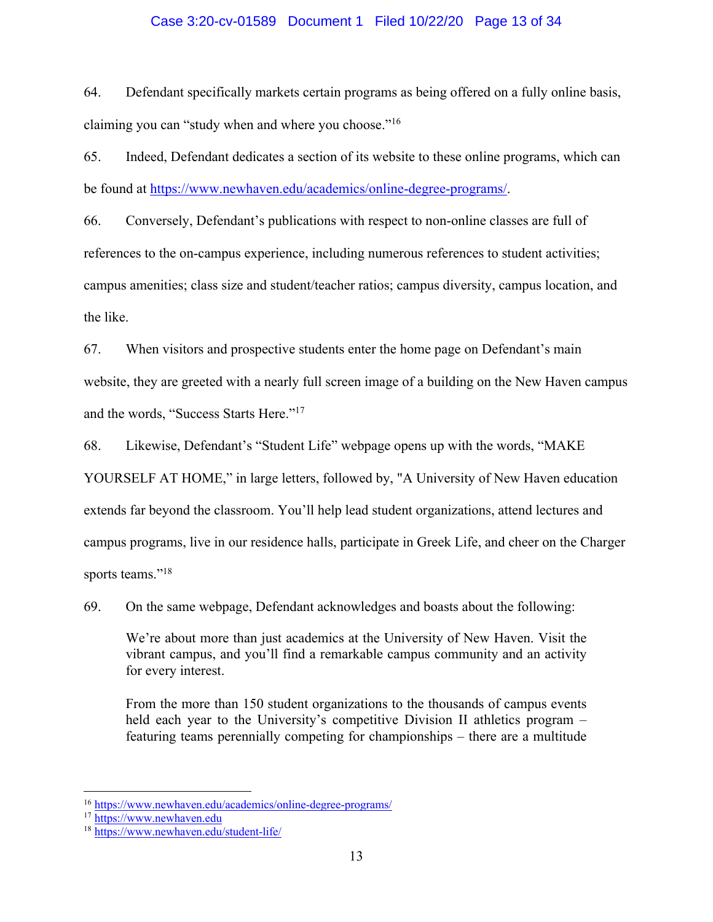### Case 3:20-cv-01589 Document 1 Filed 10/22/20 Page 13 of 34

64. Defendant specifically markets certain programs as being offered on a fully online basis, claiming you can "study when and where you choose."16

65. Indeed, Defendant dedicates a section of its website to these online programs, which can be found at https://www.newhaven.edu/academics/online-degree-programs/.

66. Conversely, Defendant's publications with respect to non-online classes are full of references to the on-campus experience, including numerous references to student activities; campus amenities; class size and student/teacher ratios; campus diversity, campus location, and the like.

67. When visitors and prospective students enter the home page on Defendant's main website, they are greeted with a nearly full screen image of a building on the New Haven campus and the words, "Success Starts Here."17

68. Likewise, Defendant's "Student Life" webpage opens up with the words, "MAKE

YOURSELF AT HOME," in large letters, followed by, "A University of New Haven education extends far beyond the classroom. You'll help lead student organizations, attend lectures and campus programs, live in our residence halls, participate in Greek Life, and cheer on the Charger sports teams."<sup>18</sup>

69. On the same webpage, Defendant acknowledges and boasts about the following:

We're about more than just academics at the University of New Haven. Visit the vibrant campus, and you'll find a remarkable campus community and an activity for every interest.

From the more than 150 student organizations to the thousands of campus events held each year to the University's competitive Division II athletics program – featuring teams perennially competing for championships – there are a multitude

<sup>16</sup> https://www.newhaven.edu/academics/online-degree-programs/

<sup>17</sup> https://www.newhaven.edu

<sup>18</sup> https://www.newhaven.edu/student-life/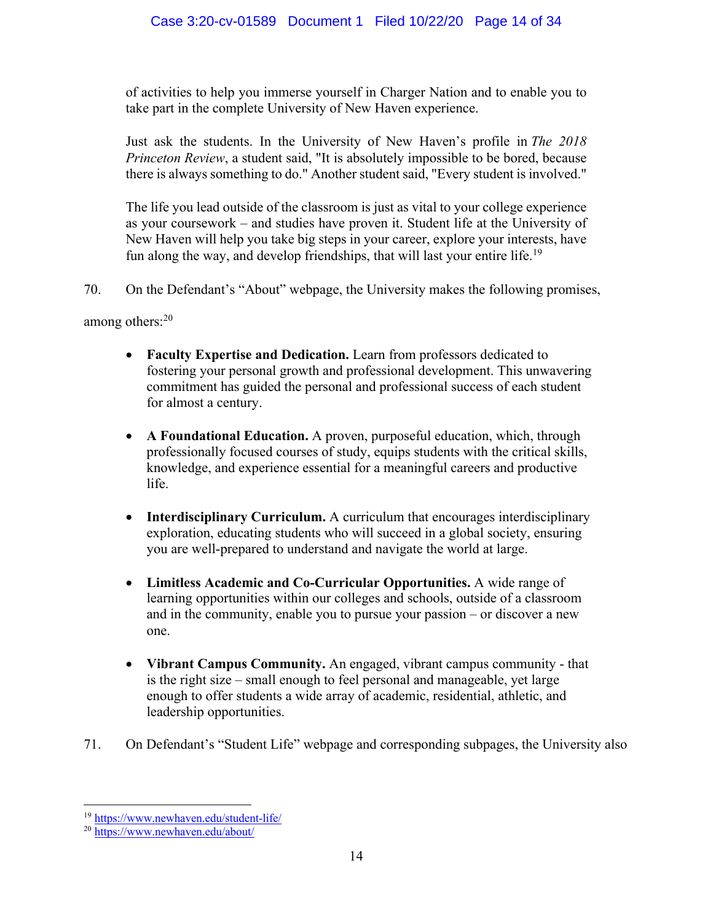of activities to help you immerse yourself in Charger Nation and to enable you to take part in the complete University of New Haven experience.

Just ask the students. In the University of New Haven's profile in *The 2018 Princeton Review*, a student said, "It is absolutely impossible to be bored, because there is always something to do." Another student said, "Every student is involved."

The life you lead outside of the classroom is just as vital to your college experience as your coursework – and studies have proven it. Student life at the University of New Haven will help you take big steps in your career, explore your interests, have fun along the way, and develop friendships, that will last your entire life.<sup>19</sup>

70. On the Defendant's "About" webpage, the University makes the following promises,

among others:20

- **Faculty Expertise and Dedication.** Learn from professors dedicated to fostering your personal growth and professional development. This unwavering commitment has guided the personal and professional success of each student for almost a century.
- **A Foundational Education.** A proven, purposeful education, which, through professionally focused courses of study, equips students with the critical skills, knowledge, and experience essential for a meaningful careers and productive life.
- **Interdisciplinary Curriculum.** A curriculum that encourages interdisciplinary exploration, educating students who will succeed in a global society, ensuring you are well-prepared to understand and navigate the world at large.
- **Limitless Academic and Co-Curricular Opportunities.** A wide range of learning opportunities within our colleges and schools, outside of a classroom and in the community, enable you to pursue your passion – or discover a new one.
- **Vibrant Campus Community.** An engaged, vibrant campus community that is the right size – small enough to feel personal and manageable, yet large enough to offer students a wide array of academic, residential, athletic, and leadership opportunities.
- 71. On Defendant's "Student Life" webpage and corresponding subpages, the University also

<sup>19</sup> https://www.newhaven.edu/student-life/

<sup>20</sup> https://www.newhaven.edu/about/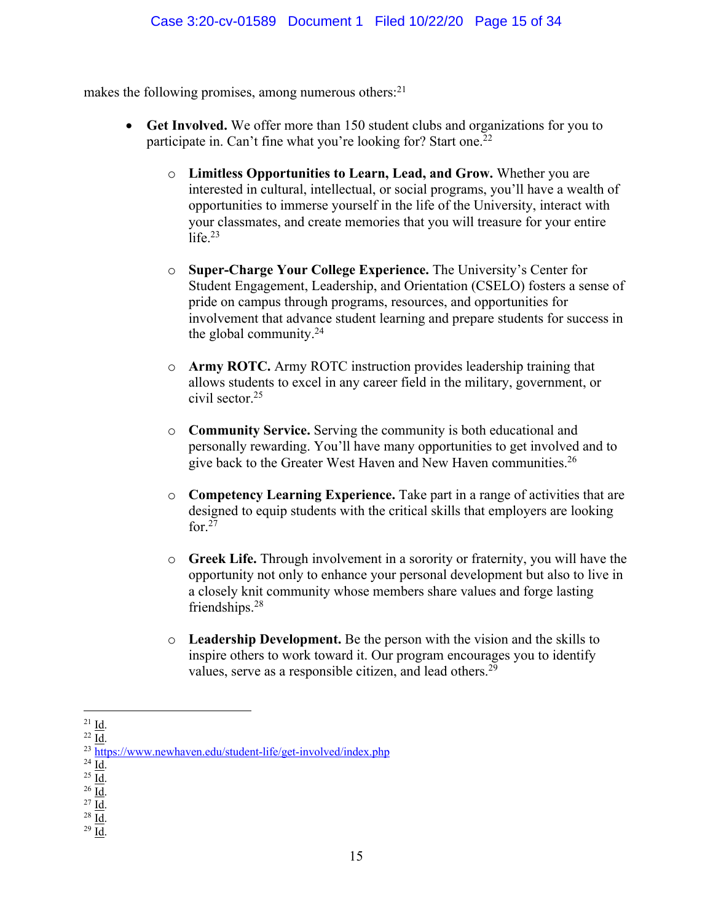makes the following promises, among numerous others: $2<sup>1</sup>$ 

- **Get Involved.** We offer more than 150 student clubs and organizations for you to participate in. Can't fine what you're looking for? Start one.<sup>22</sup>
	- o **Limitless Opportunities to Learn, Lead, and Grow.** Whether you are interested in cultural, intellectual, or social programs, you'll have a wealth of opportunities to immerse yourself in the life of the University, interact with your classmates, and create memories that you will treasure for your entire  $l$ ife. $23$
	- o **Super-Charge Your College Experience.** The University's Center for Student Engagement, Leadership, and Orientation (CSELO) fosters a sense of pride on campus through programs, resources, and opportunities for involvement that advance student learning and prepare students for success in the global community.24
	- o **Army ROTC.** Army ROTC instruction provides leadership training that allows students to excel in any career field in the military, government, or civil sector.25
	- o **Community Service.** Serving the community is both educational and personally rewarding. You'll have many opportunities to get involved and to give back to the Greater West Haven and New Haven communities.26
	- o **Competency Learning Experience.** Take part in a range of activities that are designed to equip students with the critical skills that employers are looking for. $27$
	- o **Greek Life.** Through involvement in a sorority or fraternity, you will have the opportunity not only to enhance your personal development but also to live in a closely knit community whose members share values and forge lasting friendships.<sup>28</sup>
	- o **Leadership Development.** Be the person with the vision and the skills to inspire others to work toward it. Our program encourages you to identify values, serve as a responsible citizen, and lead others.29

 $\frac{21}{22}$   $\frac{\underline{\text{Id}}}{\underline{\text{Id}}}.$ <br>  $\frac{22}{\text{https://www.newhaven.edu/student-life/get-involved/index.php}}$ 

 $\frac{24}{25}$  <u>Id.</u><br>  $\frac{25}{26}$  <u>Id.</u><br>  $\frac{27}{10}$  <u>Id.</u><br>  $\frac{28}{10}$  <u>Id.</u>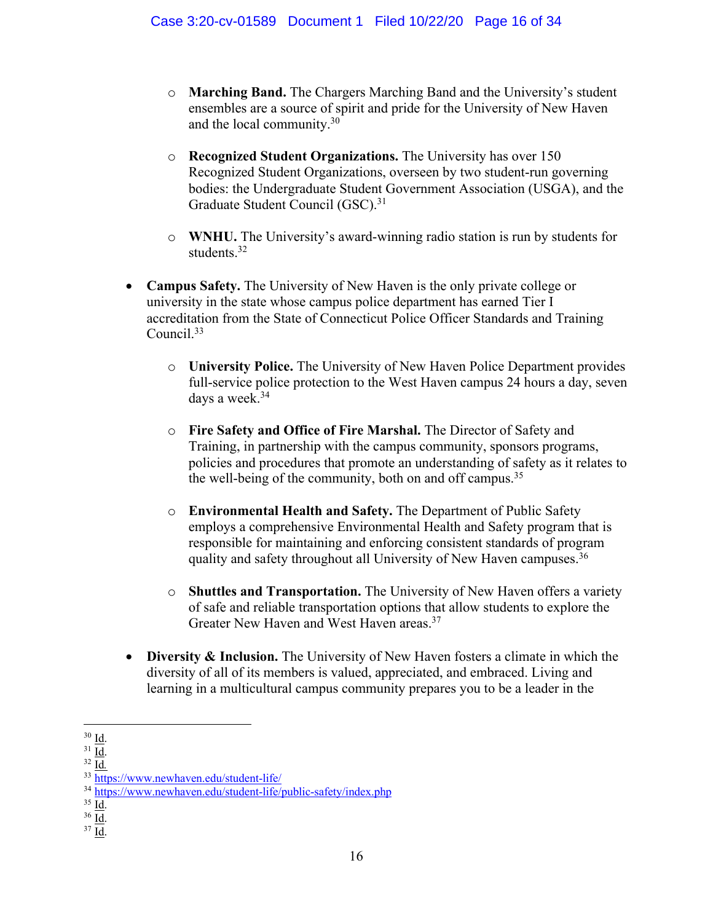- o **Marching Band.** The Chargers Marching Band and the University's student ensembles are a source of spirit and pride for the University of New Haven and the local community.30
- o **Recognized Student Organizations.** The University has over 150 Recognized Student Organizations, overseen by two student-run governing bodies: the Undergraduate Student Government Association (USGA), and the Graduate Student Council (GSC).<sup>31</sup>
- o **WNHU.** The University's award-winning radio station is run by students for students.<sup>32</sup>
- **Campus Safety.** The University of New Haven is the only private college or university in the state whose campus police department has earned Tier I accreditation from the State of Connecticut Police Officer Standards and Training Council.33
	- o **University Police.** The University of New Haven Police Department provides full-service police protection to the West Haven campus 24 hours a day, seven days a week.<sup>34</sup>
	- o **Fire Safety and Office of Fire Marshal.** The Director of Safety and Training, in partnership with the campus community, sponsors programs, policies and procedures that promote an understanding of safety as it relates to the well-being of the community, both on and off campus.<sup>35</sup>
	- o **Environmental Health and Safety.** The Department of Public Safety employs a comprehensive Environmental Health and Safety program that is responsible for maintaining and enforcing consistent standards of program quality and safety throughout all University of New Haven campuses.<sup>36</sup>
	- o **Shuttles and Transportation.** The University of New Haven offers a variety of safe and reliable transportation options that allow students to explore the Greater New Haven and West Haven areas.37
- **Diversity & Inclusion.** The University of New Haven fosters a climate in which the diversity of all of its members is valued, appreciated, and embraced. Living and learning in a multicultural campus community prepares you to be a leader in the

 $30 \underline{\text{Id}}$ .

 $rac{31}{32}$  $rac{\overline{Id}}{\overline{Id}}$ .

<sup>33</sup> https://www.newhaven.edu/student-life/

<sup>&</sup>lt;sup>34</sup> https://www.newhaven.edu/student-life/public-safety/index.php <sup>35</sup> Id.

 $rac{36}{37}$  <u>Id</u>.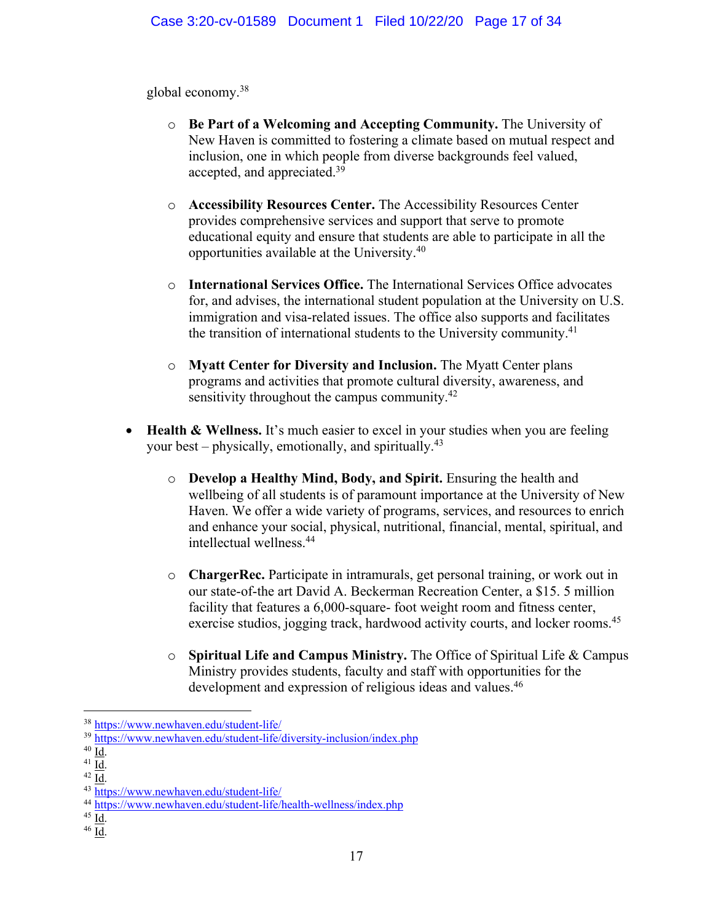global economy.38

- o **Be Part of a Welcoming and Accepting Community.** The University of New Haven is committed to fostering a climate based on mutual respect and inclusion, one in which people from diverse backgrounds feel valued, accepted, and appreciated.39
- o **Accessibility Resources Center.** The Accessibility Resources Center provides comprehensive services and support that serve to promote educational equity and ensure that students are able to participate in all the opportunities available at the University.40
- o **International Services Office.** The International Services Office advocates for, and advises, the international student population at the University on U.S. immigration and visa-related issues. The office also supports and facilitates the transition of international students to the University community.<sup>41</sup>
- o **Myatt Center for Diversity and Inclusion.** The Myatt Center plans programs and activities that promote cultural diversity, awareness, and sensitivity throughout the campus community.<sup>42</sup>
- **Health & Wellness.** It's much easier to excel in your studies when you are feeling your best – physically, emotionally, and spiritually.<sup>43</sup>
	- o **Develop a Healthy Mind, Body, and Spirit.** Ensuring the health and wellbeing of all students is of paramount importance at the University of New Haven. We offer a wide variety of programs, services, and resources to enrich and enhance your social, physical, nutritional, financial, mental, spiritual, and intellectual wellness.44
	- o **ChargerRec.** Participate in intramurals, get personal training, or work out in our state-of-the art David A. Beckerman Recreation Center, a \$15. 5 million facility that features a 6,000-square- foot weight room and fitness center, exercise studios, jogging track, hardwood activity courts, and locker rooms.<sup>45</sup>
	- o **Spiritual Life and Campus Ministry.** The Office of Spiritual Life & Campus Ministry provides students, faculty and staff with opportunities for the development and expression of religious ideas and values.<sup>46</sup>

<sup>38</sup> https://www.newhaven.edu/student-life/

<sup>&</sup>lt;sup>39</sup> https://www.newhaven.edu/student-life/diversity-inclusion/index.php <sup>40</sup> Id.

<sup>&</sup>lt;sup>41</sup>  $\overline{1d}$ .<br><sup>42</sup>  $\overline{1d}$ .<br><sup>43</sup> https://www.newhaven.edu/student-life/

<sup>&</sup>lt;sup>44</sup> https://www.newhaven.edu/student-life/health-wellness/index.php<br><sup>45</sup> Id.

 $46$  <u>Id</u>.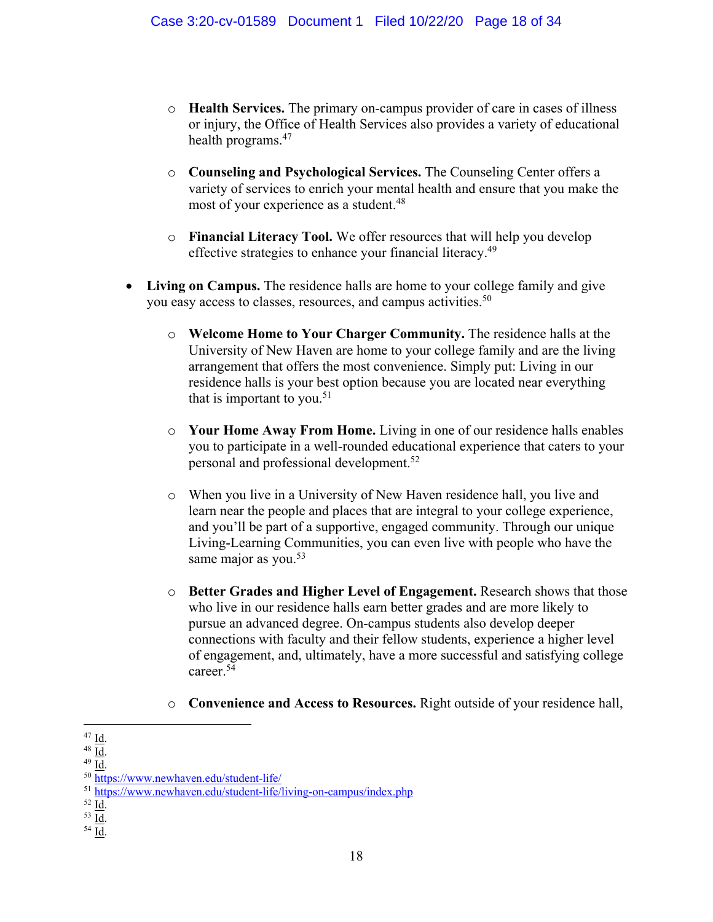- o **Health Services.** The primary on-campus provider of care in cases of illness or injury, the Office of Health Services also provides a variety of educational health programs.<sup>47</sup>
- o **Counseling and Psychological Services.** The Counseling Center offers a variety of services to enrich your mental health and ensure that you make the most of your experience as a student.<sup>48</sup>
- o **Financial Literacy Tool.** We offer resources that will help you develop effective strategies to enhance your financial literacy.49
- **Living on Campus.** The residence halls are home to your college family and give you easy access to classes, resources, and campus activities.<sup>50</sup>
	- o **Welcome Home to Your Charger Community.** The residence halls at the University of New Haven are home to your college family and are the living arrangement that offers the most convenience. Simply put: Living in our residence halls is your best option because you are located near everything that is important to you.<sup>51</sup>
	- o **Your Home Away From Home.** Living in one of our residence halls enables you to participate in a well-rounded educational experience that caters to your personal and professional development.52
	- o When you live in a University of New Haven residence hall, you live and learn near the people and places that are integral to your college experience, and you'll be part of a supportive, engaged community. Through our unique Living-Learning Communities, you can even live with people who have the same major as you.<sup>53</sup>
	- o **Better Grades and Higher Level of Engagement.** Research shows that those who live in our residence halls earn better grades and are more likely to pursue an advanced degree. On-campus students also develop deeper connections with faculty and their fellow students, experience a higher level of engagement, and, ultimately, have a more successful and satisfying college career.54
	- o **Convenience and Access to Resources.** Right outside of your residence hall,

<sup>&</sup>lt;sup>47</sup> Id.<br><sup>48</sup> Id.<br><sup>49</sup> Id.<br><sup>50</sup> https://www.newhaven.edu/student-life/

<sup>&</sup>lt;sup>51</sup> https://www.newhaven.edu/student-life/living-on-campus/index.php<br><sup>52</sup> Id.

 $rac{53}{54}$  <u>Id</u>.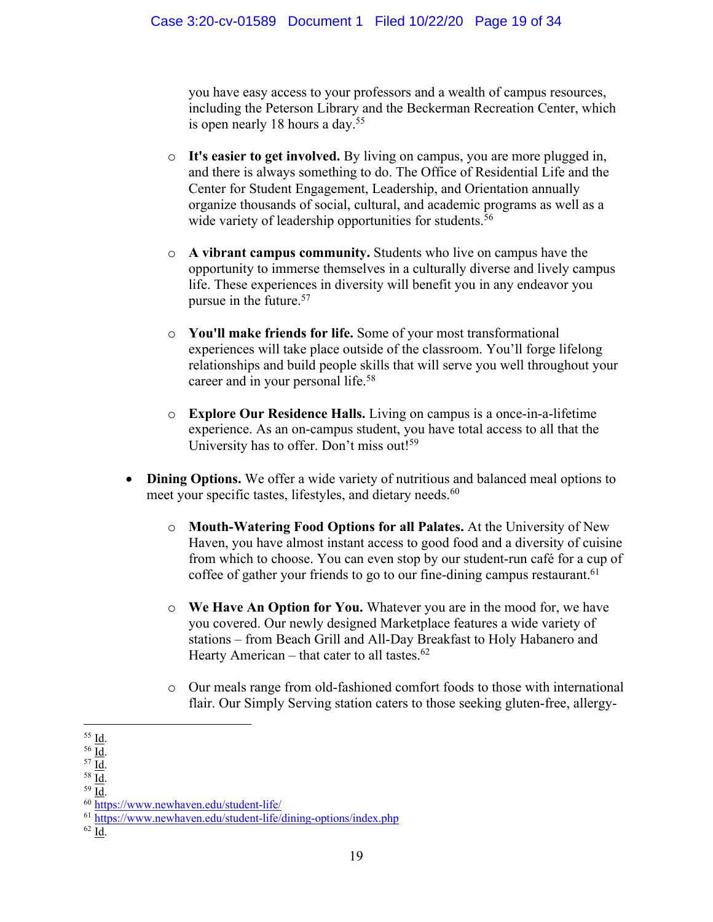you have easy access to your professors and a wealth of campus resources, including the Peterson Library and the Beckerman Recreation Center, which is open nearly 18 hours a day.<sup>55</sup>

- o **It's easier to get involved.** By living on campus, you are more plugged in, and there is always something to do. The Office of Residential Life and the Center for Student Engagement, Leadership, and Orientation annually organize thousands of social, cultural, and academic programs as well as a wide variety of leadership opportunities for students.<sup>56</sup>
- o **A vibrant campus community.** Students who live on campus have the opportunity to immerse themselves in a culturally diverse and lively campus life. These experiences in diversity will benefit you in any endeavor you pursue in the future.57
- o **You'll make friends for life.** Some of your most transformational experiences will take place outside of the classroom. You'll forge lifelong relationships and build people skills that will serve you well throughout your career and in your personal life.<sup>58</sup>
- o **Explore Our Residence Halls.** Living on campus is a once-in-a-lifetime experience. As an on-campus student, you have total access to all that the University has to offer. Don't miss out!<sup>59</sup>
- **Dining Options.** We offer a wide variety of nutritious and balanced meal options to meet your specific tastes, lifestyles, and dietary needs.<sup>60</sup>
	- o **Mouth-Watering Food Options for all Palates.** At the University of New Haven, you have almost instant access to good food and a diversity of cuisine from which to choose. You can even stop by our student-run café for a cup of coffee of gather your friends to go to our fine-dining campus restaurant.<sup>61</sup>
	- o **We Have An Option for You.** Whatever you are in the mood for, we have you covered. Our newly designed Marketplace features a wide variety of stations – from Beach Grill and All-Day Breakfast to Holy Habanero and Hearty American – that cater to all tastes. $62$
	- o Our meals range from old-fashioned comfort foods to those with international flair. Our Simply Serving station caters to those seeking gluten-free, allergy-

 $rac{55}{56}$  <u>Id</u>.<br> $rac{56}{57}$  <u>Id</u>.<br> $rac{57}{58}$  <u>Id</u>.

 $\frac{59}{10}$ .<br> $\frac{1}{10}$ .  $\frac{1}{10}$ .  $\frac{1}{10}$ .  $\frac{1}{10}$ .  $\frac{1}{10}$ .  $\frac{1}{10}$ .  $\frac{1}{10}$ .  $\frac{1}{10}$ .  $\frac{1}{10}$ .  $\frac{1}{10}$ .  $\frac{1}{10}$ .  $\frac{1}{10}$ .  $\frac{1}{10}$ .  $\frac{1}{10}$ .  $\frac{1}{10}$ .  $\frac{1}{10}$ .  $\frac{1}{10}$ .  $\frac{$ 

<sup>61</sup> https://www.newhaven.edu/student-life/dining-options/index.php

<sup>62</sup> Id.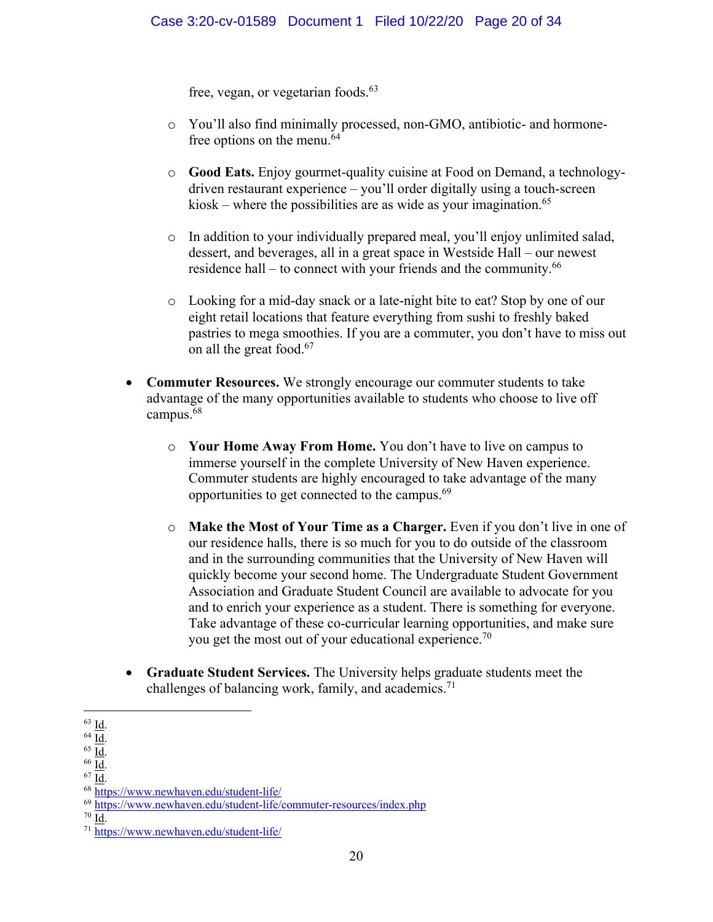free, vegan, or vegetarian foods.<sup>63</sup>

- o You'll also find minimally processed, non-GMO, antibiotic- and hormonefree options on the menu.<sup>64</sup>
- o **Good Eats.** Enjoy gourmet-quality cuisine at Food on Demand, a technologydriven restaurant experience – you'll order digitally using a touch-screen kiosk – where the possibilities are as wide as your imagination.<sup>65</sup>
- o In addition to your individually prepared meal, you'll enjoy unlimited salad, dessert, and beverages, all in a great space in Westside Hall – our newest residence hall – to connect with your friends and the community. $66$
- o Looking for a mid-day snack or a late-night bite to eat? Stop by one of our eight retail locations that feature everything from sushi to freshly baked pastries to mega smoothies. If you are a commuter, you don't have to miss out on all the great food.<sup>67</sup>
- **Commuter Resources.** We strongly encourage our commuter students to take advantage of the many opportunities available to students who choose to live off campus.<sup>68</sup>
	- o **Your Home Away From Home.** You don't have to live on campus to immerse yourself in the complete University of New Haven experience. Commuter students are highly encouraged to take advantage of the many opportunities to get connected to the campus.69
	- o **Make the Most of Your Time as a Charger.** Even if you don't live in one of our residence halls, there is so much for you to do outside of the classroom and in the surrounding communities that the University of New Haven will quickly become your second home. The Undergraduate Student Government Association and Graduate Student Council are available to advocate for you and to enrich your experience as a student. There is something for everyone. Take advantage of these co-curricular learning opportunities, and make sure you get the most out of your educational experience.<sup>70</sup>
- **Graduate Student Services.** The University helps graduate students meet the challenges of balancing work, family, and academics.<sup>71</sup>

<sup>&</sup>lt;sup>63</sup> Id.<br>
<sup>64</sup> Id.<br>
<sup>65</sup> Id.<br>
<sup>66</sup> Id.<br>
<sup>68</sup> https://www.newhaven.edu/student-life/

<sup>69</sup> https://www.newhaven.edu/student-life/commuter-resources/index.php

 $\frac{70}{71}$  https://www.newhaven.edu/student-life/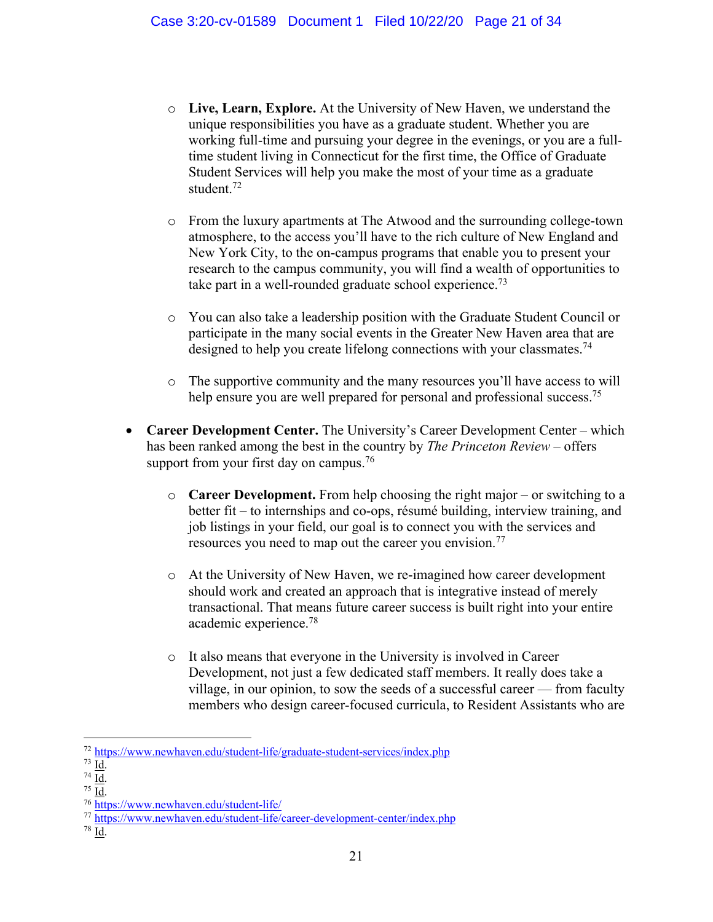- o **Live, Learn, Explore.** At the University of New Haven, we understand the unique responsibilities you have as a graduate student. Whether you are working full-time and pursuing your degree in the evenings, or you are a fulltime student living in Connecticut for the first time, the Office of Graduate Student Services will help you make the most of your time as a graduate student.72
- o From the luxury apartments at The Atwood and the surrounding college-town atmosphere, to the access you'll have to the rich culture of New England and New York City, to the on-campus programs that enable you to present your research to the campus community, you will find a wealth of opportunities to take part in a well-rounded graduate school experience.<sup>73</sup>
- o You can also take a leadership position with the Graduate Student Council or participate in the many social events in the Greater New Haven area that are designed to help you create lifelong connections with your classmates.<sup>74</sup>
- o The supportive community and the many resources you'll have access to will help ensure you are well prepared for personal and professional success.<sup>75</sup>
- **Career Development Center.** The University's Career Development Center which has been ranked among the best in the country by *The Princeton Review* – offers support from your first day on campus.<sup>76</sup>
	- o **Career Development.** From help choosing the right major or switching to a better fit – to internships and co-ops, résumé building, interview training, and job listings in your field, our goal is to connect you with the services and resources you need to map out the career you envision.<sup>77</sup>
	- o At the University of New Haven, we re-imagined how career development should work and created an approach that is integrative instead of merely transactional. That means future career success is built right into your entire academic experience.78
	- o It also means that everyone in the University is involved in Career Development, not just a few dedicated staff members. It really does take a village, in our opinion, to sow the seeds of a successful career — from faculty members who design career-focused curricula, to Resident Assistants who are

 $^{72}$  https://www.newhaven.edu/student-life/graduate-student-services/index.php  $^{73}$  Id.

<sup>&</sup>lt;sup>74</sup>  $\overline{Id}$ .<br><sup>75</sup> <u>Id</u>.<br><sup>76</sup> https://www.newhaven.edu/student-life/

<sup>77</sup> https://www.newhaven.edu/student-life/career-development-center/index.php

<sup>78</sup> Id.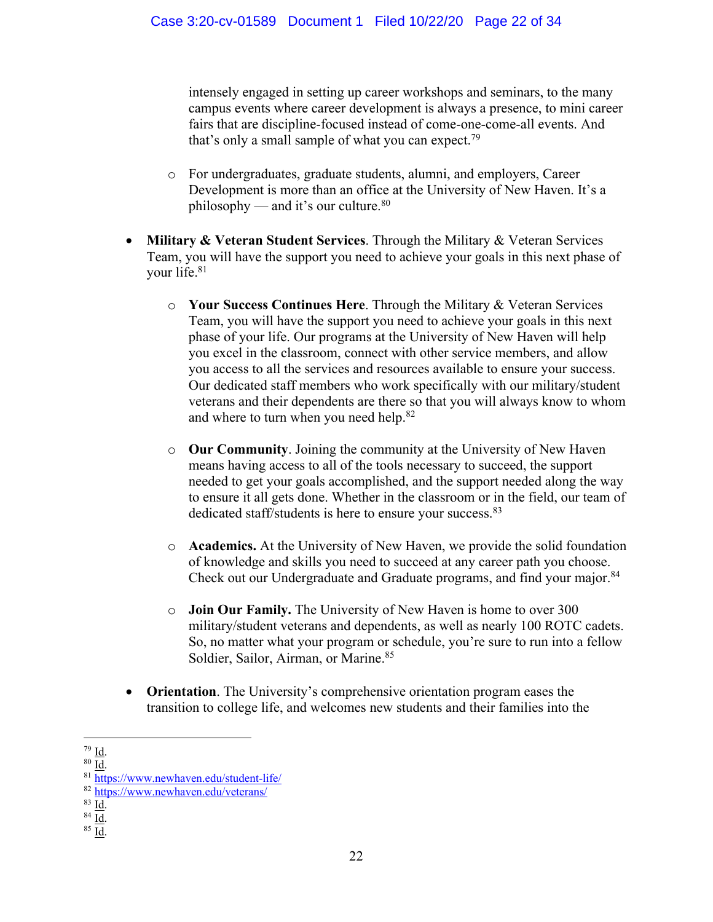intensely engaged in setting up career workshops and seminars, to the many campus events where career development is always a presence, to mini career fairs that are discipline-focused instead of come-one-come-all events. And that's only a small sample of what you can expect.<sup>79</sup>

- o For undergraduates, graduate students, alumni, and employers, Career Development is more than an office at the University of New Haven. It's a philosophy — and it's our culture.<sup>80</sup>
- **Military & Veteran Student Services**. Through the Military & Veteran Services Team, you will have the support you need to achieve your goals in this next phase of your life.81
	- o **Your Success Continues Here**. Through the Military & Veteran Services Team, you will have the support you need to achieve your goals in this next phase of your life. Our programs at the University of New Haven will help you excel in the classroom, connect with other service members, and allow you access to all the services and resources available to ensure your success. Our dedicated staff members who work specifically with our military/student veterans and their dependents are there so that you will always know to whom and where to turn when you need help.82
	- o **Our Community**. Joining the community at the University of New Haven means having access to all of the tools necessary to succeed, the support needed to get your goals accomplished, and the support needed along the way to ensure it all gets done. Whether in the classroom or in the field, our team of dedicated staff/students is here to ensure your success.<sup>83</sup>
	- o **Academics.** At the University of New Haven, we provide the solid foundation of knowledge and skills you need to succeed at any career path you choose. Check out our Undergraduate and Graduate programs, and find your major.<sup>84</sup>
	- o **Join Our Family.** The University of New Haven is home to over 300 military/student veterans and dependents, as well as nearly 100 ROTC cadets. So, no matter what your program or schedule, you're sure to run into a fellow Soldier, Sailor, Airman, or Marine.<sup>85</sup>
- **Orientation**. The University's comprehensive orientation program eases the transition to college life, and welcomes new students and their families into the

 $\frac{79}{80}$  <u>Id</u>.<br><sup>80</sup> <u>Id</u>. 81 https://www.newhaven.edu/student-life/

<sup>82</sup> https://www.newhaven.edu/veterans/

 $rac{83}{84}$   $rac{Id}{Id}$ .<br> $rac{85}{10}$ .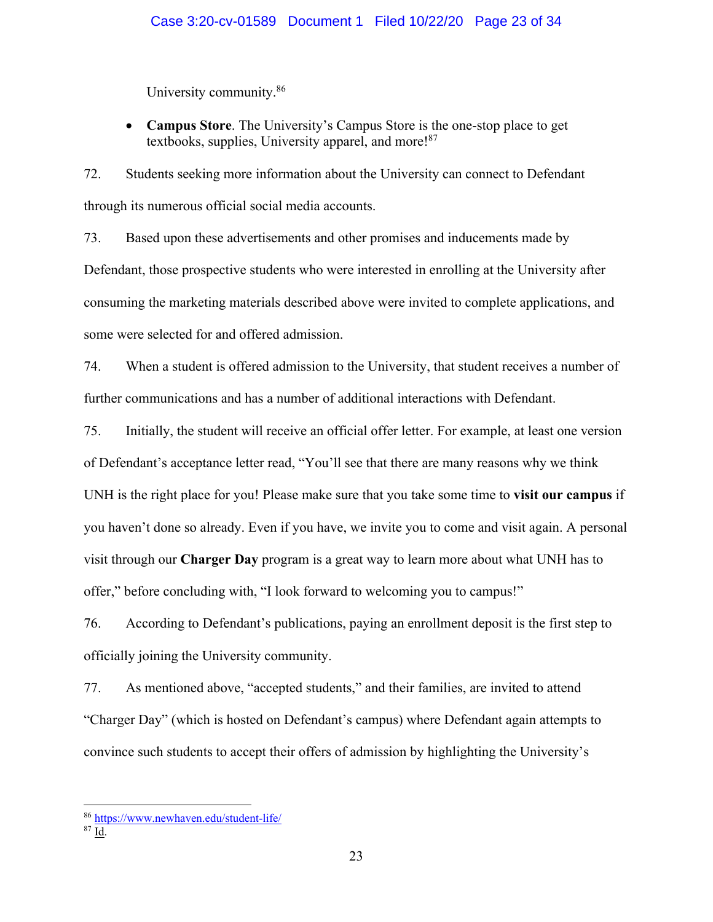University community.86

• **Campus Store**. The University's Campus Store is the one-stop place to get textbooks, supplies, University apparel, and more!<sup>87</sup>

72. Students seeking more information about the University can connect to Defendant through its numerous official social media accounts.

73. Based upon these advertisements and other promises and inducements made by Defendant, those prospective students who were interested in enrolling at the University after consuming the marketing materials described above were invited to complete applications, and some were selected for and offered admission.

74. When a student is offered admission to the University, that student receives a number of further communications and has a number of additional interactions with Defendant.

75. Initially, the student will receive an official offer letter. For example, at least one version of Defendant's acceptance letter read, "You'll see that there are many reasons why we think UNH is the right place for you! Please make sure that you take some time to **visit our campus** if you haven't done so already. Even if you have, we invite you to come and visit again. A personal visit through our **Charger Day** program is a great way to learn more about what UNH has to offer," before concluding with, "I look forward to welcoming you to campus!"

76. According to Defendant's publications, paying an enrollment deposit is the first step to officially joining the University community.

77. As mentioned above, "accepted students," and their families, are invited to attend "Charger Day" (which is hosted on Defendant's campus) where Defendant again attempts to convince such students to accept their offers of admission by highlighting the University's

<sup>86</sup> https://www.newhaven.edu/student-life/

 $87$  Id.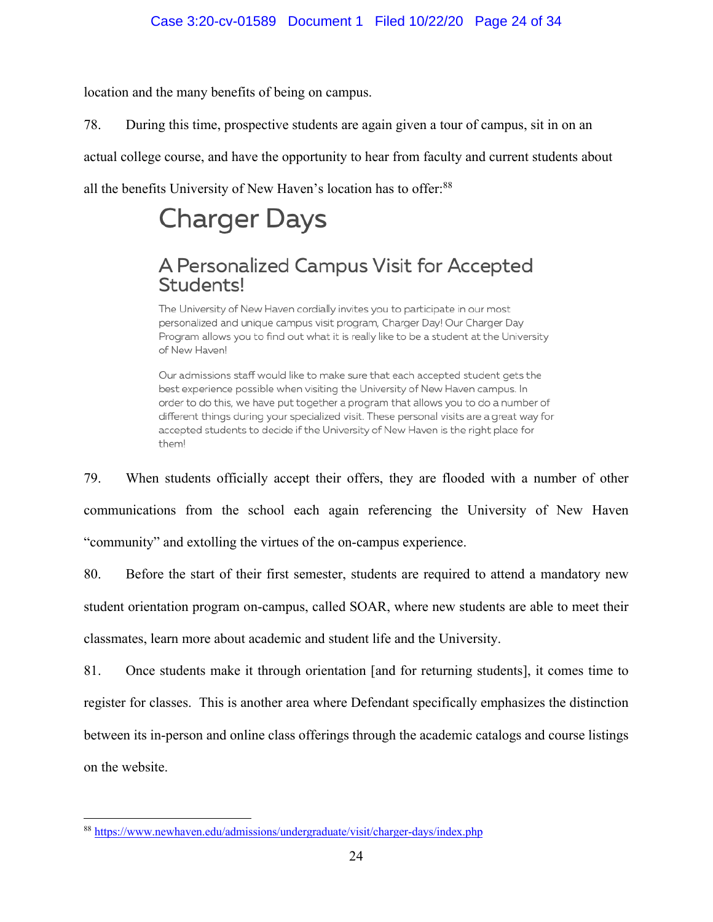location and the many benefits of being on campus.

78. During this time, prospective students are again given a tour of campus, sit in on an

actual college course, and have the opportunity to hear from faculty and current students about

all the benefits University of New Haven's location has to offer:<sup>88</sup>

# **Charger Days**

# A Personalized Campus Visit for Accepted Students!

The University of New Haven cordially invites you to participate in our most personalized and unique campus visit program, Charger Day! Our Charger Day Program allows you to find out what it is really like to be a student at the University of New Haven!

Our admissions staff would like to make sure that each accepted student gets the best experience possible when visiting the University of New Haven campus. In order to do this, we have put together a program that allows you to do a number of different things during your specialized visit. These personal visits are a great way for accepted students to decide if the University of New Haven is the right place for them!

79. When students officially accept their offers, they are flooded with a number of other communications from the school each again referencing the University of New Haven "community" and extolling the virtues of the on-campus experience.

80. Before the start of their first semester, students are required to attend a mandatory new student orientation program on-campus, called SOAR, where new students are able to meet their classmates, learn more about academic and student life and the University.

81. Once students make it through orientation [and for returning students], it comes time to register for classes. This is another area where Defendant specifically emphasizes the distinction between its in-person and online class offerings through the academic catalogs and course listings on the website.

<sup>88</sup> https://www.newhaven.edu/admissions/undergraduate/visit/charger-days/index.php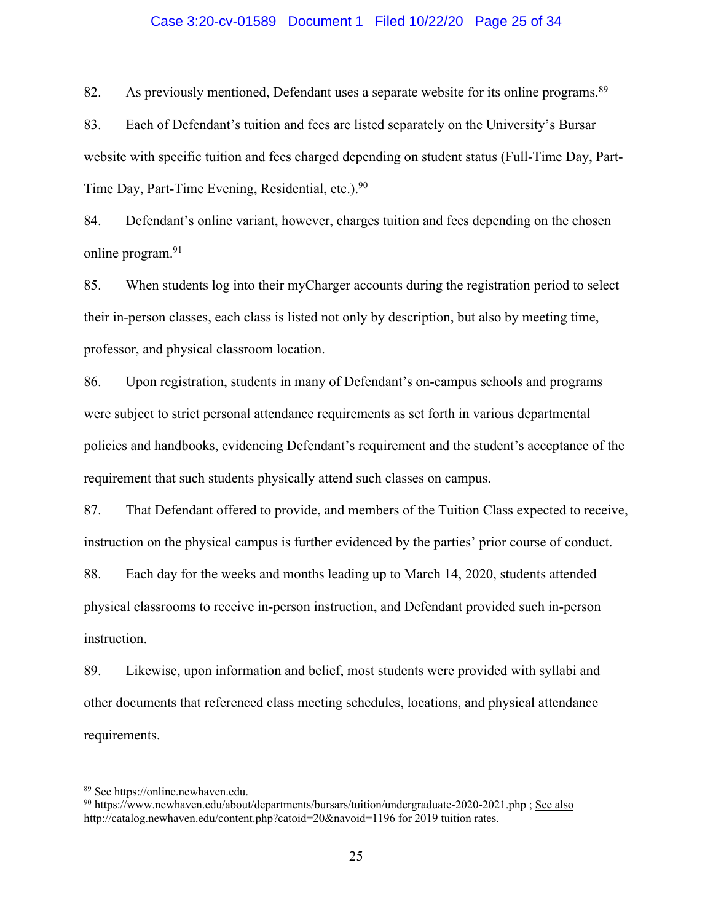### Case 3:20-cv-01589 Document 1 Filed 10/22/20 Page 25 of 34

82. As previously mentioned, Defendant uses a separate website for its online programs.<sup>89</sup>

83. Each of Defendant's tuition and fees are listed separately on the University's Bursar website with specific tuition and fees charged depending on student status (Full-Time Day, Part-Time Day, Part-Time Evening, Residential, etc.).<sup>90</sup>

84. Defendant's online variant, however, charges tuition and fees depending on the chosen online program.<sup>91</sup>

85. When students log into their myCharger accounts during the registration period to select their in-person classes, each class is listed not only by description, but also by meeting time, professor, and physical classroom location.

86. Upon registration, students in many of Defendant's on-campus schools and programs were subject to strict personal attendance requirements as set forth in various departmental policies and handbooks, evidencing Defendant's requirement and the student's acceptance of the requirement that such students physically attend such classes on campus.

87. That Defendant offered to provide, and members of the Tuition Class expected to receive, instruction on the physical campus is further evidenced by the parties' prior course of conduct.

88. Each day for the weeks and months leading up to March 14, 2020, students attended physical classrooms to receive in-person instruction, and Defendant provided such in-person instruction.

89. Likewise, upon information and belief, most students were provided with syllabi and other documents that referenced class meeting schedules, locations, and physical attendance requirements.

 $\frac{89}{90}$  See https://online.newhaven.edu.<br><sup>90</sup> https://www.newhaven.edu/about/departments/bursars/tuition/undergraduate-2020-2021.php ; See also http://catalog.newhaven.edu/content.php?catoid=20&navoid=1196 for 2019 tuition rates.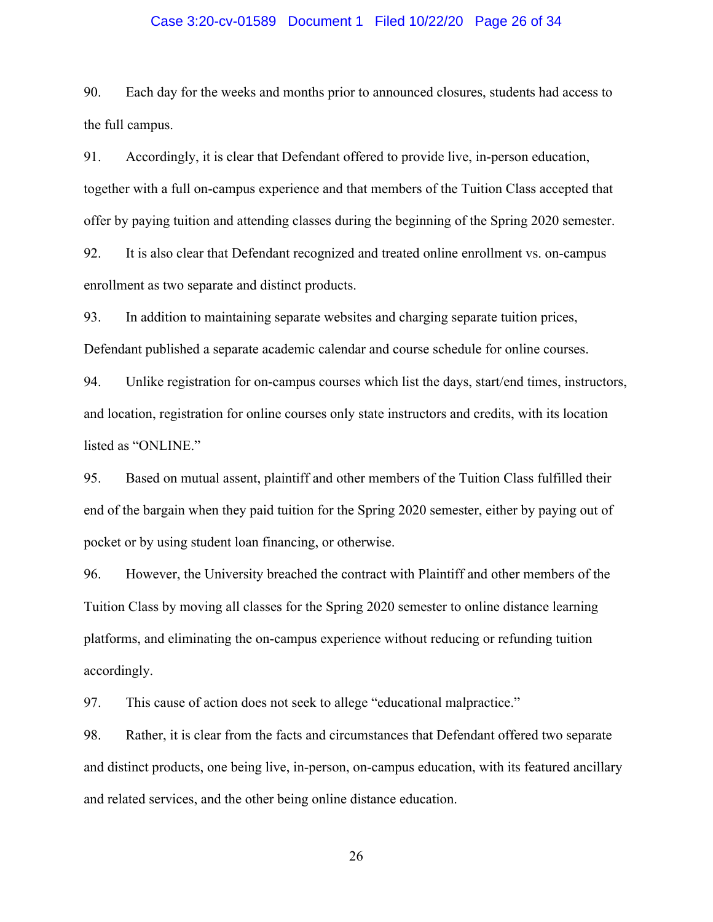### Case 3:20-cv-01589 Document 1 Filed 10/22/20 Page 26 of 34

90. Each day for the weeks and months prior to announced closures, students had access to the full campus.

91. Accordingly, it is clear that Defendant offered to provide live, in-person education, together with a full on-campus experience and that members of the Tuition Class accepted that offer by paying tuition and attending classes during the beginning of the Spring 2020 semester.

92. It is also clear that Defendant recognized and treated online enrollment vs. on-campus enrollment as two separate and distinct products.

93. In addition to maintaining separate websites and charging separate tuition prices, Defendant published a separate academic calendar and course schedule for online courses.

94. Unlike registration for on-campus courses which list the days, start/end times, instructors, and location, registration for online courses only state instructors and credits, with its location listed as "ONLINE."

95. Based on mutual assent, plaintiff and other members of the Tuition Class fulfilled their end of the bargain when they paid tuition for the Spring 2020 semester, either by paying out of pocket or by using student loan financing, or otherwise.

96. However, the University breached the contract with Plaintiff and other members of the Tuition Class by moving all classes for the Spring 2020 semester to online distance learning platforms, and eliminating the on-campus experience without reducing or refunding tuition accordingly.

97. This cause of action does not seek to allege "educational malpractice."

98. Rather, it is clear from the facts and circumstances that Defendant offered two separate and distinct products, one being live, in-person, on-campus education, with its featured ancillary and related services, and the other being online distance education.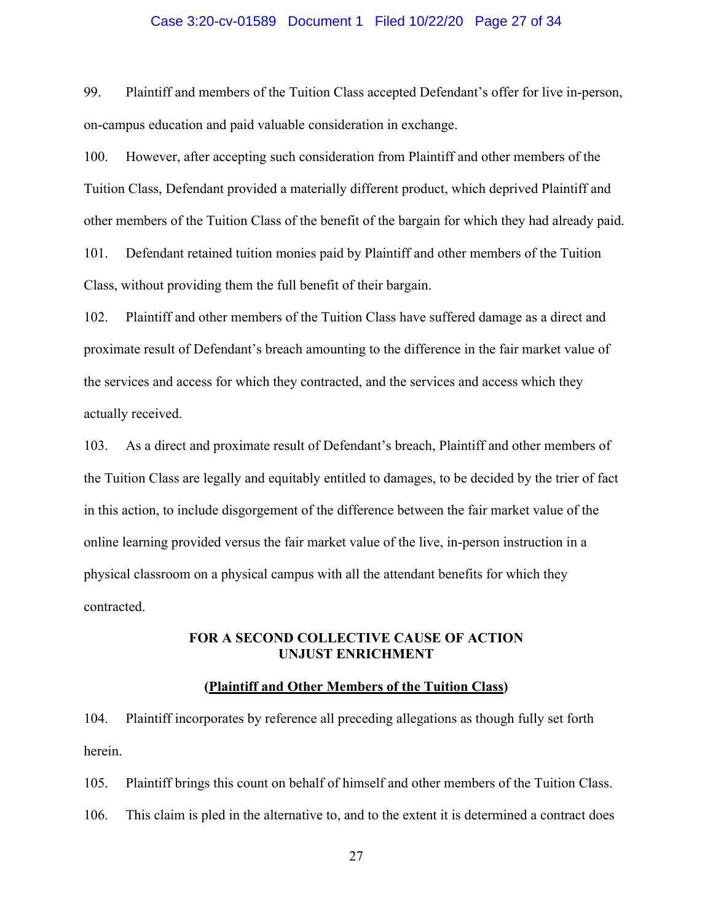### Case 3:20-cv-01589 Document 1 Filed 10/22/20 Page 27 of 34

99. Plaintiff and members of the Tuition Class accepted Defendant's offer for live in-person, on-campus education and paid valuable consideration in exchange.

100. However, after accepting such consideration from Plaintiff and other members of the Tuition Class, Defendant provided a materially different product, which deprived Plaintiff and other members of the Tuition Class of the benefit of the bargain for which they had already paid.

101. Defendant retained tuition monies paid by Plaintiff and other members of the Tuition Class, without providing them the full benefit of their bargain.

102. Plaintiff and other members of the Tuition Class have suffered damage as a direct and proximate result of Defendant's breach amounting to the difference in the fair market value of the services and access for which they contracted, and the services and access which they actually received.

103. As a direct and proximate result of Defendant's breach, Plaintiff and other members of the Tuition Class are legally and equitably entitled to damages, to be decided by the trier of fact in this action, to include disgorgement of the difference between the fair market value of the online learning provided versus the fair market value of the live, in-person instruction in a physical classroom on a physical campus with all the attendant benefits for which they contracted.

### **FOR A SECOND COLLECTIVE CAUSE OF ACTION UNJUST ENRICHMENT**

### **(Plaintiff and Other Members of the Tuition Class)**

104. Plaintiff incorporates by reference all preceding allegations as though fully set forth herein.

105. Plaintiff brings this count on behalf of himself and other members of the Tuition Class. 106. This claim is pled in the alternative to, and to the extent it is determined a contract does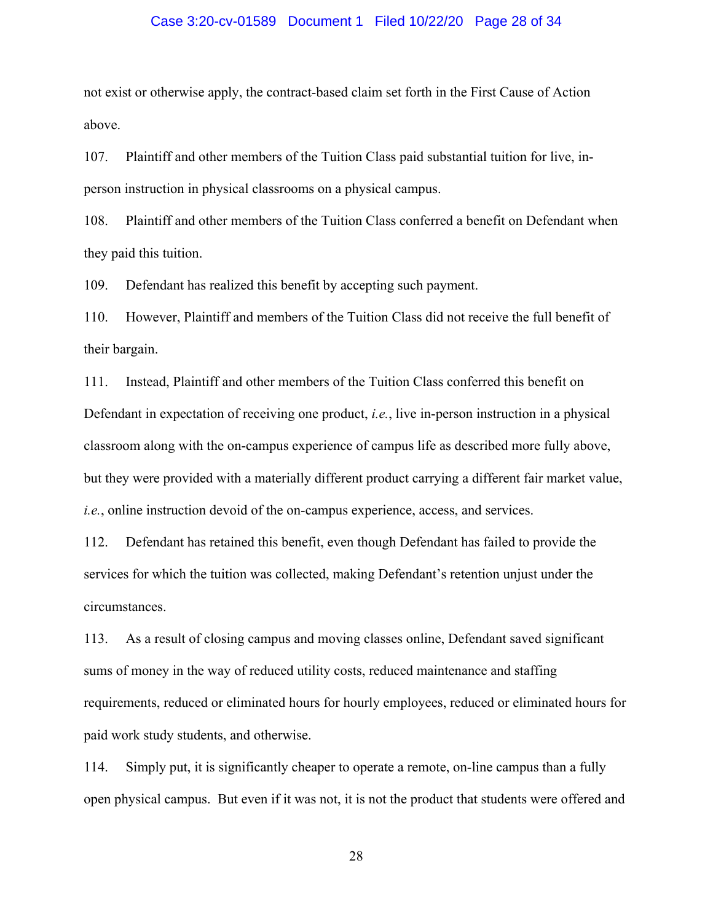### Case 3:20-cv-01589 Document 1 Filed 10/22/20 Page 28 of 34

not exist or otherwise apply, the contract-based claim set forth in the First Cause of Action above.

107. Plaintiff and other members of the Tuition Class paid substantial tuition for live, inperson instruction in physical classrooms on a physical campus.

108. Plaintiff and other members of the Tuition Class conferred a benefit on Defendant when they paid this tuition.

109. Defendant has realized this benefit by accepting such payment.

110. However, Plaintiff and members of the Tuition Class did not receive the full benefit of their bargain.

111. Instead, Plaintiff and other members of the Tuition Class conferred this benefit on Defendant in expectation of receiving one product, *i.e.*, live in-person instruction in a physical classroom along with the on-campus experience of campus life as described more fully above, but they were provided with a materially different product carrying a different fair market value, *i.e.*, online instruction devoid of the on-campus experience, access, and services.

112. Defendant has retained this benefit, even though Defendant has failed to provide the services for which the tuition was collected, making Defendant's retention unjust under the circumstances.

113. As a result of closing campus and moving classes online, Defendant saved significant sums of money in the way of reduced utility costs, reduced maintenance and staffing requirements, reduced or eliminated hours for hourly employees, reduced or eliminated hours for paid work study students, and otherwise.

114. Simply put, it is significantly cheaper to operate a remote, on-line campus than a fully open physical campus. But even if it was not, it is not the product that students were offered and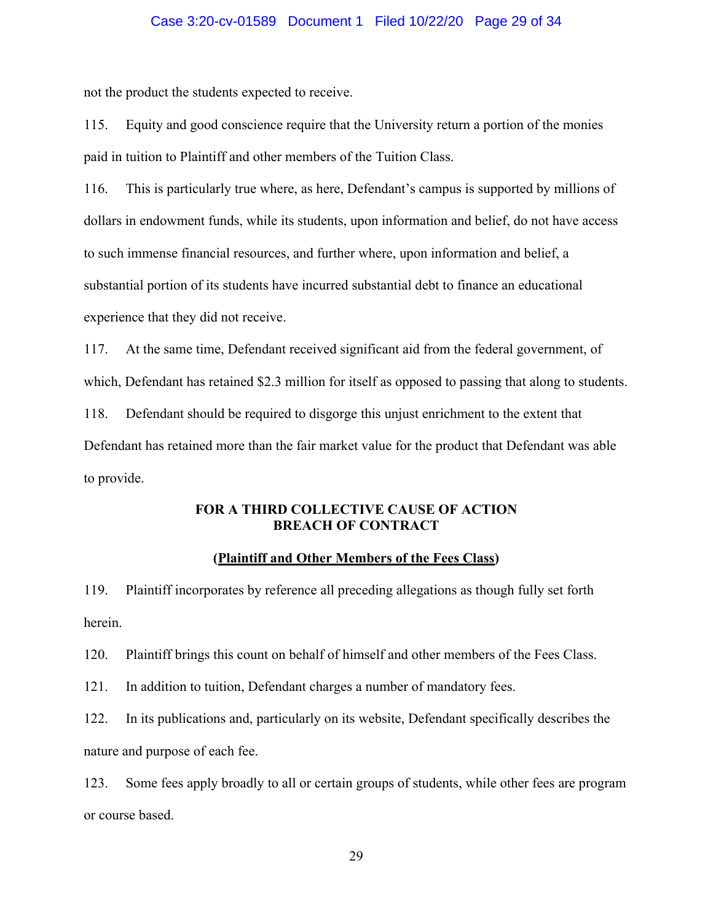### Case 3:20-cv-01589 Document 1 Filed 10/22/20 Page 29 of 34

not the product the students expected to receive.

115. Equity and good conscience require that the University return a portion of the monies paid in tuition to Plaintiff and other members of the Tuition Class.

116. This is particularly true where, as here, Defendant's campus is supported by millions of dollars in endowment funds, while its students, upon information and belief, do not have access to such immense financial resources, and further where, upon information and belief, a substantial portion of its students have incurred substantial debt to finance an educational experience that they did not receive.

117. At the same time, Defendant received significant aid from the federal government, of which, Defendant has retained \$2.3 million for itself as opposed to passing that along to students. 118. Defendant should be required to disgorge this unjust enrichment to the extent that Defendant has retained more than the fair market value for the product that Defendant was able to provide.

### **FOR A THIRD COLLECTIVE CAUSE OF ACTION BREACH OF CONTRACT**

### **(Plaintiff and Other Members of the Fees Class)**

119. Plaintiff incorporates by reference all preceding allegations as though fully set forth herein.

120. Plaintiff brings this count on behalf of himself and other members of the Fees Class.

121. In addition to tuition, Defendant charges a number of mandatory fees.

122. In its publications and, particularly on its website, Defendant specifically describes the nature and purpose of each fee.

123. Some fees apply broadly to all or certain groups of students, while other fees are program or course based.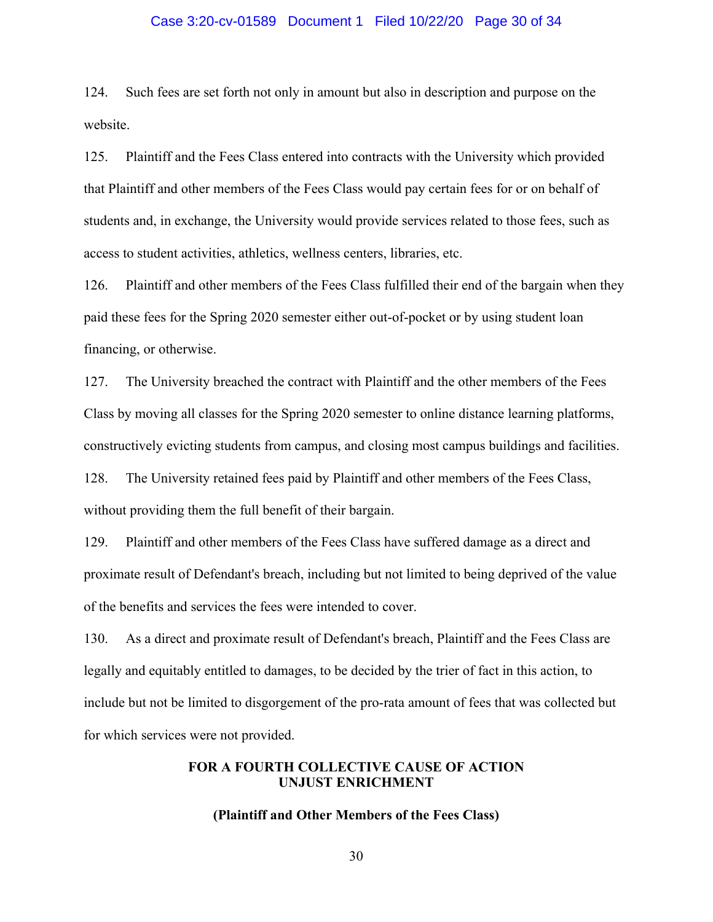### Case 3:20-cv-01589 Document 1 Filed 10/22/20 Page 30 of 34

124. Such fees are set forth not only in amount but also in description and purpose on the website.

125. Plaintiff and the Fees Class entered into contracts with the University which provided that Plaintiff and other members of the Fees Class would pay certain fees for or on behalf of students and, in exchange, the University would provide services related to those fees, such as access to student activities, athletics, wellness centers, libraries, etc.

126. Plaintiff and other members of the Fees Class fulfilled their end of the bargain when they paid these fees for the Spring 2020 semester either out-of-pocket or by using student loan financing, or otherwise.

127. The University breached the contract with Plaintiff and the other members of the Fees Class by moving all classes for the Spring 2020 semester to online distance learning platforms, constructively evicting students from campus, and closing most campus buildings and facilities. 128. The University retained fees paid by Plaintiff and other members of the Fees Class, without providing them the full benefit of their bargain.

129. Plaintiff and other members of the Fees Class have suffered damage as a direct and proximate result of Defendant's breach, including but not limited to being deprived of the value of the benefits and services the fees were intended to cover.

130. As a direct and proximate result of Defendant's breach, Plaintiff and the Fees Class are legally and equitably entitled to damages, to be decided by the trier of fact in this action, to include but not be limited to disgorgement of the pro-rata amount of fees that was collected but for which services were not provided.

### **FOR A FOURTH COLLECTIVE CAUSE OF ACTION UNJUST ENRICHMENT**

### **(Plaintiff and Other Members of the Fees Class)**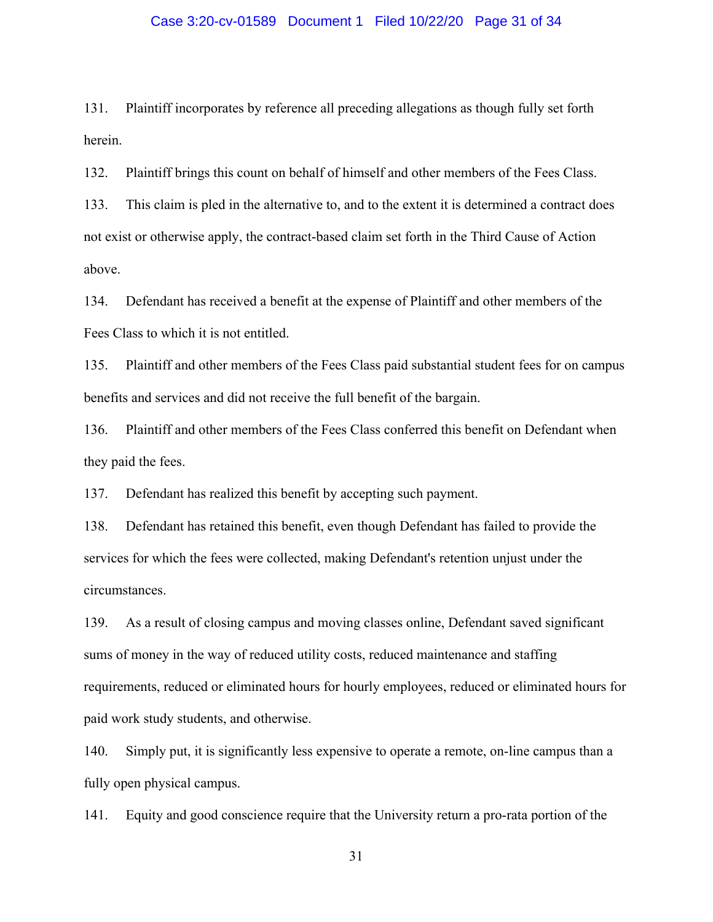### Case 3:20-cv-01589 Document 1 Filed 10/22/20 Page 31 of 34

131. Plaintiff incorporates by reference all preceding allegations as though fully set forth herein.

132. Plaintiff brings this count on behalf of himself and other members of the Fees Class.

133. This claim is pled in the alternative to, and to the extent it is determined a contract does not exist or otherwise apply, the contract-based claim set forth in the Third Cause of Action above.

134. Defendant has received a benefit at the expense of Plaintiff and other members of the Fees Class to which it is not entitled.

135. Plaintiff and other members of the Fees Class paid substantial student fees for on campus benefits and services and did not receive the full benefit of the bargain.

136. Plaintiff and other members of the Fees Class conferred this benefit on Defendant when they paid the fees.

137. Defendant has realized this benefit by accepting such payment.

138. Defendant has retained this benefit, even though Defendant has failed to provide the services for which the fees were collected, making Defendant's retention unjust under the circumstances.

139. As a result of closing campus and moving classes online, Defendant saved significant sums of money in the way of reduced utility costs, reduced maintenance and staffing requirements, reduced or eliminated hours for hourly employees, reduced or eliminated hours for paid work study students, and otherwise.

140. Simply put, it is significantly less expensive to operate a remote, on-line campus than a fully open physical campus.

141. Equity and good conscience require that the University return a pro-rata portion of the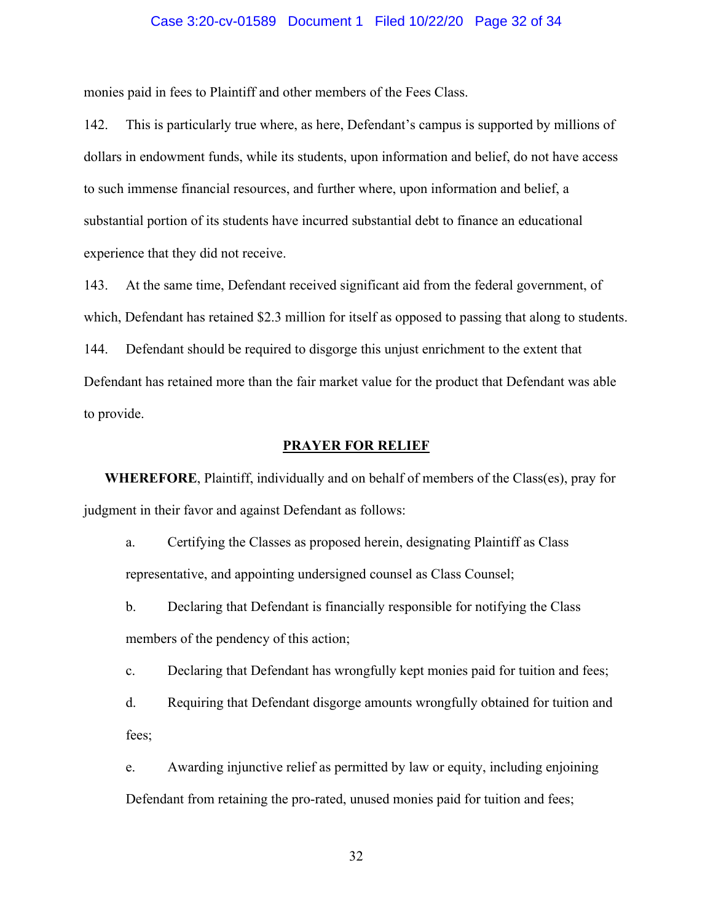### Case 3:20-cv-01589 Document 1 Filed 10/22/20 Page 32 of 34

monies paid in fees to Plaintiff and other members of the Fees Class.

142. This is particularly true where, as here, Defendant's campus is supported by millions of dollars in endowment funds, while its students, upon information and belief, do not have access to such immense financial resources, and further where, upon information and belief, a substantial portion of its students have incurred substantial debt to finance an educational experience that they did not receive.

143. At the same time, Defendant received significant aid from the federal government, of which, Defendant has retained \$2.3 million for itself as opposed to passing that along to students. 144. Defendant should be required to disgorge this unjust enrichment to the extent that Defendant has retained more than the fair market value for the product that Defendant was able to provide.

### **PRAYER FOR RELIEF**

**WHEREFORE**, Plaintiff, individually and on behalf of members of the Class(es), pray for judgment in their favor and against Defendant as follows:

- a. Certifying the Classes as proposed herein, designating Plaintiff as Class representative, and appointing undersigned counsel as Class Counsel;
- b. Declaring that Defendant is financially responsible for notifying the Class members of the pendency of this action;
- c. Declaring that Defendant has wrongfully kept monies paid for tuition and fees;
- d. Requiring that Defendant disgorge amounts wrongfully obtained for tuition and fees;
- e. Awarding injunctive relief as permitted by law or equity, including enjoining Defendant from retaining the pro-rated, unused monies paid for tuition and fees;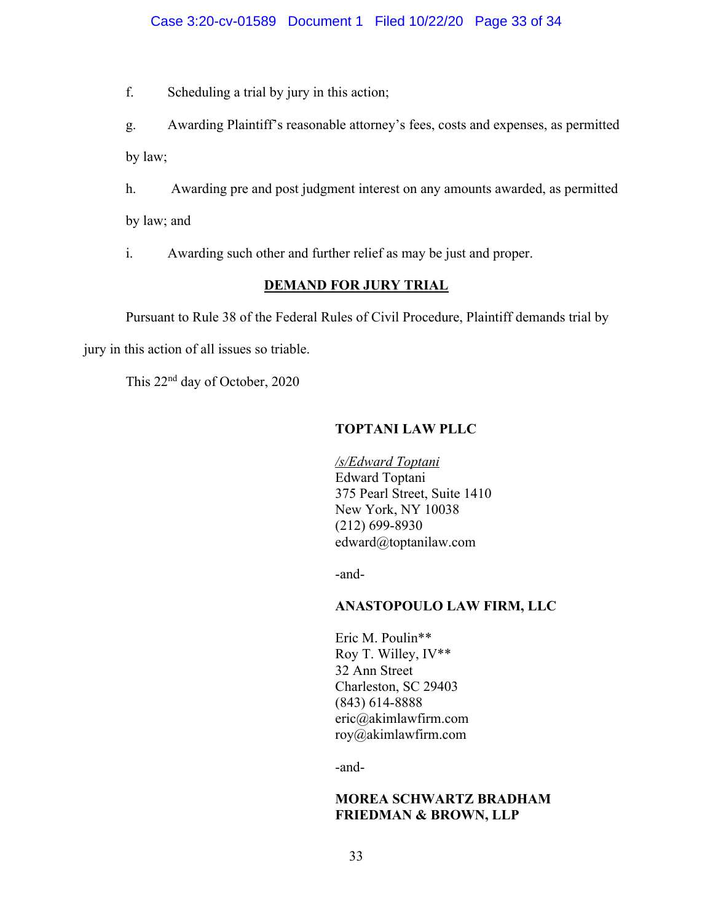### Case 3:20-cv-01589 Document 1 Filed 10/22/20 Page 33 of 34

f. Scheduling a trial by jury in this action;

g. Awarding Plaintiff's reasonable attorney's fees, costs and expenses, as permitted by law;

h. Awarding pre and post judgment interest on any amounts awarded, as permitted by law; and

i. Awarding such other and further relief as may be just and proper.

### **DEMAND FOR JURY TRIAL**

Pursuant to Rule 38 of the Federal Rules of Civil Procedure, Plaintiff demands trial by

jury in this action of all issues so triable.

This 22nd day of October, 2020

### **TOPTANI LAW PLLC**

*/s/Edward Toptani* Edward Toptani 375 Pearl Street, Suite 1410 New York, NY 10038 (212) 699-8930 edward@toptanilaw.com

-and-

### **ANASTOPOULO LAW FIRM, LLC**

Eric M. Poulin\*\* Roy T. Willey, IV\*\* 32 Ann Street Charleston, SC 29403 (843) 614-8888 eric@akimlawfirm.com roy@akimlawfirm.com

-and-

### **MOREA SCHWARTZ BRADHAM FRIEDMAN & BROWN, LLP**